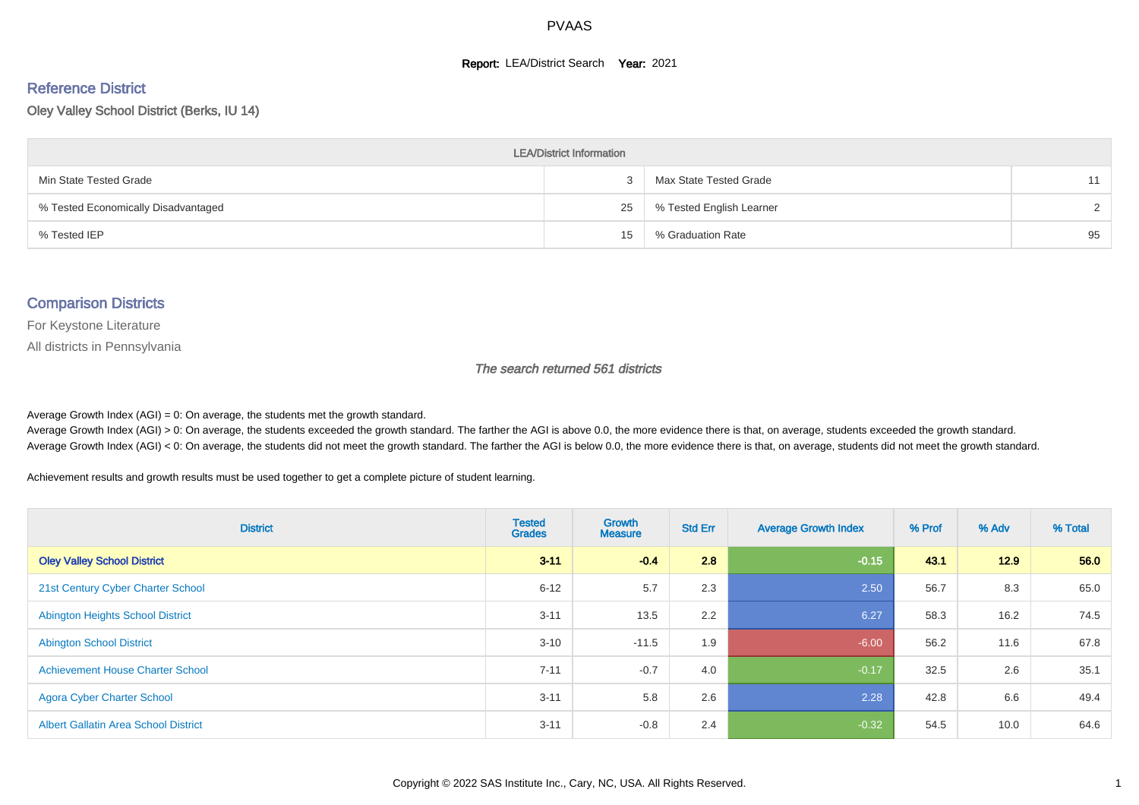#### **Report: LEA/District Search Year: 2021**

# Reference District

Oley Valley School District (Berks, IU 14)

| <b>LEA/District Information</b>     |    |                          |               |  |  |  |  |  |  |  |
|-------------------------------------|----|--------------------------|---------------|--|--|--|--|--|--|--|
| Min State Tested Grade              |    | Max State Tested Grade   | 11            |  |  |  |  |  |  |  |
| % Tested Economically Disadvantaged | 25 | % Tested English Learner | $\mathcal{D}$ |  |  |  |  |  |  |  |
| % Tested IEP                        | 15 | % Graduation Rate        | 95            |  |  |  |  |  |  |  |

#### Comparison Districts

For Keystone Literature

All districts in Pennsylvania

The search returned 561 districts

Average Growth Index  $(AGI) = 0$ : On average, the students met the growth standard.

Average Growth Index (AGI) > 0: On average, the students exceeded the growth standard. The farther the AGI is above 0.0, the more evidence there is that, on average, students exceeded the growth standard. Average Growth Index (AGI) < 0: On average, the students did not meet the growth standard. The farther the AGI is below 0.0, the more evidence there is that, on average, students did not meet the growth standard.

Achievement results and growth results must be used together to get a complete picture of student learning.

| <b>District</b>                             | <b>Tested</b><br><b>Grades</b> | <b>Growth</b><br><b>Measure</b> | <b>Std Err</b> | <b>Average Growth Index</b> | % Prof | % Adv | % Total |
|---------------------------------------------|--------------------------------|---------------------------------|----------------|-----------------------------|--------|-------|---------|
| <b>Oley Valley School District</b>          | $3 - 11$                       | $-0.4$                          | 2.8            | $-0.15$                     | 43.1   | 12.9  | 56.0    |
| 21st Century Cyber Charter School           | $6 - 12$                       | 5.7                             | 2.3            | 2.50                        | 56.7   | 8.3   | 65.0    |
| <b>Abington Heights School District</b>     | $3 - 11$                       | 13.5                            | 2.2            | 6.27                        | 58.3   | 16.2  | 74.5    |
| <b>Abington School District</b>             | $3 - 10$                       | $-11.5$                         | 1.9            | $-6.00$                     | 56.2   | 11.6  | 67.8    |
| <b>Achievement House Charter School</b>     | $7 - 11$                       | $-0.7$                          | 4.0            | $-0.17$                     | 32.5   | 2.6   | 35.1    |
| <b>Agora Cyber Charter School</b>           | $3 - 11$                       | 5.8                             | 2.6            | 2.28                        | 42.8   | 6.6   | 49.4    |
| <b>Albert Gallatin Area School District</b> | $3 - 11$                       | $-0.8$                          | 2.4            | $-0.32$                     | 54.5   | 10.0  | 64.6    |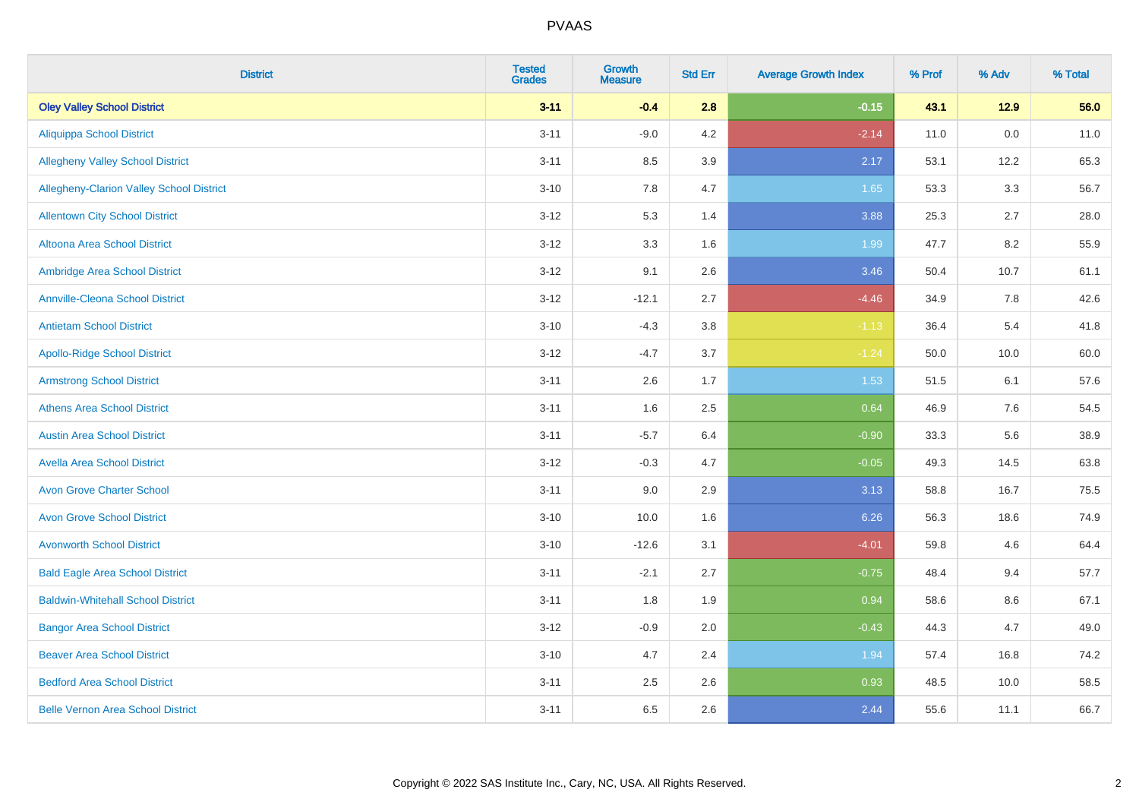| <b>District</b>                          | <b>Tested</b><br>Grades | <b>Growth</b><br><b>Measure</b> | <b>Std Err</b> | <b>Average Growth Index</b> | % Prof | % Adv   | % Total |
|------------------------------------------|-------------------------|---------------------------------|----------------|-----------------------------|--------|---------|---------|
| <b>Oley Valley School District</b>       | $3 - 11$                | $-0.4$                          | 2.8            | $-0.15$                     | 43.1   | 12.9    | 56.0    |
| <b>Aliquippa School District</b>         | $3 - 11$                | $-9.0$                          | 4.2            | $-2.14$                     | 11.0   | $0.0\,$ | 11.0    |
| <b>Allegheny Valley School District</b>  | $3 - 11$                | 8.5                             | 3.9            | 2.17                        | 53.1   | 12.2    | 65.3    |
| Allegheny-Clarion Valley School District | $3 - 10$                | 7.8                             | 4.7            | 1.65                        | 53.3   | 3.3     | 56.7    |
| <b>Allentown City School District</b>    | $3 - 12$                | 5.3                             | 1.4            | 3.88                        | 25.3   | 2.7     | 28.0    |
| <b>Altoona Area School District</b>      | $3 - 12$                | 3.3                             | 1.6            | 1.99                        | 47.7   | 8.2     | 55.9    |
| Ambridge Area School District            | $3 - 12$                | 9.1                             | 2.6            | 3.46                        | 50.4   | 10.7    | 61.1    |
| <b>Annville-Cleona School District</b>   | $3 - 12$                | $-12.1$                         | 2.7            | $-4.46$                     | 34.9   | 7.8     | 42.6    |
| <b>Antietam School District</b>          | $3 - 10$                | $-4.3$                          | 3.8            | $-1.13$                     | 36.4   | 5.4     | 41.8    |
| <b>Apollo-Ridge School District</b>      | $3 - 12$                | $-4.7$                          | 3.7            | $-1.24$                     | 50.0   | 10.0    | 60.0    |
| <b>Armstrong School District</b>         | $3 - 11$                | 2.6                             | 1.7            | 1.53                        | 51.5   | 6.1     | 57.6    |
| <b>Athens Area School District</b>       | $3 - 11$                | 1.6                             | 2.5            | 0.64                        | 46.9   | 7.6     | 54.5    |
| <b>Austin Area School District</b>       | $3 - 11$                | $-5.7$                          | 6.4            | $-0.90$                     | 33.3   | 5.6     | 38.9    |
| <b>Avella Area School District</b>       | $3 - 12$                | $-0.3$                          | 4.7            | $-0.05$                     | 49.3   | 14.5    | 63.8    |
| <b>Avon Grove Charter School</b>         | $3 - 11$                | 9.0                             | 2.9            | 3.13                        | 58.8   | 16.7    | 75.5    |
| <b>Avon Grove School District</b>        | $3 - 10$                | 10.0                            | 1.6            | 6.26                        | 56.3   | 18.6    | 74.9    |
| <b>Avonworth School District</b>         | $3 - 10$                | $-12.6$                         | 3.1            | $-4.01$                     | 59.8   | 4.6     | 64.4    |
| <b>Bald Eagle Area School District</b>   | $3 - 11$                | $-2.1$                          | 2.7            | $-0.75$                     | 48.4   | 9.4     | 57.7    |
| <b>Baldwin-Whitehall School District</b> | $3 - 11$                | 1.8                             | 1.9            | 0.94                        | 58.6   | 8.6     | 67.1    |
| <b>Bangor Area School District</b>       | $3 - 12$                | $-0.9$                          | 2.0            | $-0.43$                     | 44.3   | 4.7     | 49.0    |
| <b>Beaver Area School District</b>       | $3 - 10$                | 4.7                             | 2.4            | 1.94                        | 57.4   | 16.8    | 74.2    |
| <b>Bedford Area School District</b>      | $3 - 11$                | 2.5                             | 2.6            | 0.93                        | 48.5   | 10.0    | 58.5    |
| <b>Belle Vernon Area School District</b> | $3 - 11$                | 6.5                             | 2.6            | 2.44                        | 55.6   | 11.1    | 66.7    |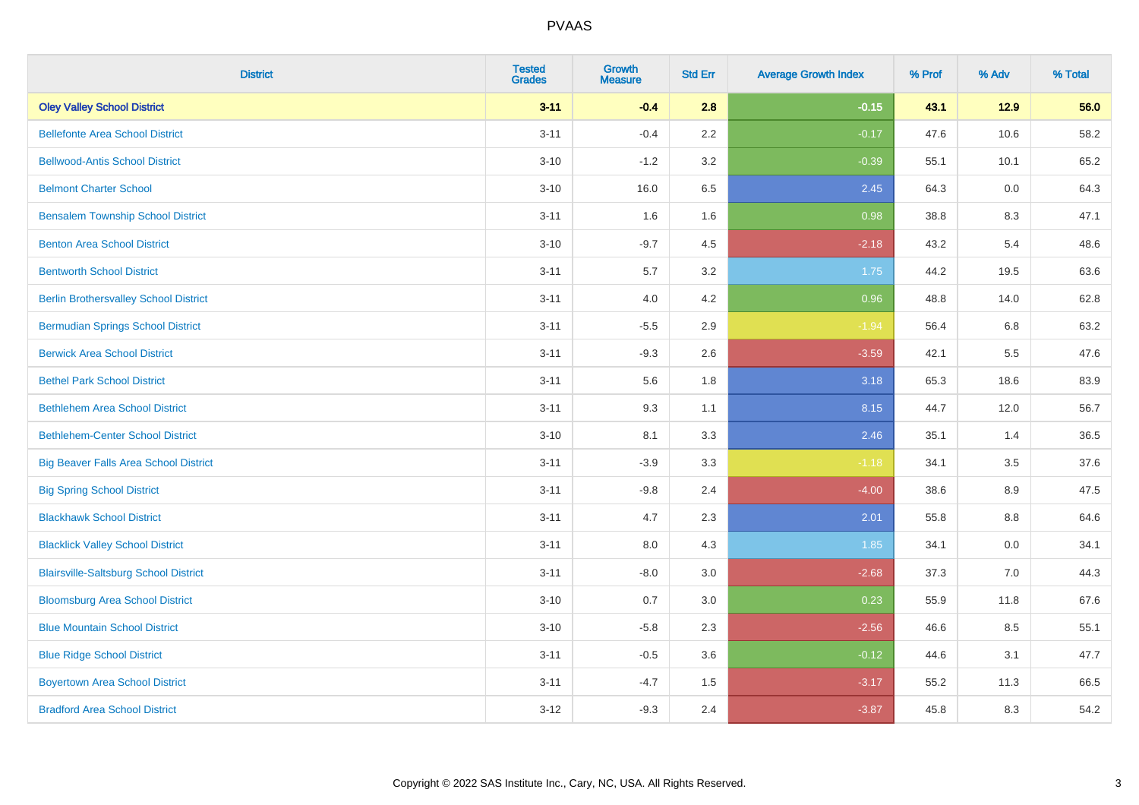| <b>District</b>                              | <b>Tested</b><br><b>Grades</b> | <b>Growth</b><br><b>Measure</b> | <b>Std Err</b> | <b>Average Growth Index</b> | % Prof | % Adv | % Total |
|----------------------------------------------|--------------------------------|---------------------------------|----------------|-----------------------------|--------|-------|---------|
| <b>Oley Valley School District</b>           | $3 - 11$                       | $-0.4$                          | 2.8            | $-0.15$                     | 43.1   | 12.9  | 56.0    |
| <b>Bellefonte Area School District</b>       | $3 - 11$                       | $-0.4$                          | 2.2            | $-0.17$                     | 47.6   | 10.6  | 58.2    |
| <b>Bellwood-Antis School District</b>        | $3 - 10$                       | $-1.2$                          | 3.2            | $-0.39$                     | 55.1   | 10.1  | 65.2    |
| <b>Belmont Charter School</b>                | $3 - 10$                       | 16.0                            | 6.5            | 2.45                        | 64.3   | 0.0   | 64.3    |
| <b>Bensalem Township School District</b>     | $3 - 11$                       | 1.6                             | 1.6            | 0.98                        | 38.8   | 8.3   | 47.1    |
| <b>Benton Area School District</b>           | $3 - 10$                       | $-9.7$                          | 4.5            | $-2.18$                     | 43.2   | 5.4   | 48.6    |
| <b>Bentworth School District</b>             | $3 - 11$                       | 5.7                             | 3.2            | 1.75                        | 44.2   | 19.5  | 63.6    |
| <b>Berlin Brothersvalley School District</b> | $3 - 11$                       | 4.0                             | 4.2            | 0.96                        | 48.8   | 14.0  | 62.8    |
| <b>Bermudian Springs School District</b>     | $3 - 11$                       | $-5.5$                          | 2.9            | $-1.94$                     | 56.4   | 6.8   | 63.2    |
| <b>Berwick Area School District</b>          | $3 - 11$                       | $-9.3$                          | 2.6            | $-3.59$                     | 42.1   | 5.5   | 47.6    |
| <b>Bethel Park School District</b>           | $3 - 11$                       | 5.6                             | 1.8            | 3.18                        | 65.3   | 18.6  | 83.9    |
| <b>Bethlehem Area School District</b>        | $3 - 11$                       | 9.3                             | 1.1            | 8.15                        | 44.7   | 12.0  | 56.7    |
| <b>Bethlehem-Center School District</b>      | $3 - 10$                       | 8.1                             | 3.3            | 2.46                        | 35.1   | 1.4   | 36.5    |
| <b>Big Beaver Falls Area School District</b> | $3 - 11$                       | $-3.9$                          | 3.3            | $-1.18$                     | 34.1   | 3.5   | 37.6    |
| <b>Big Spring School District</b>            | $3 - 11$                       | $-9.8$                          | 2.4            | $-4.00$                     | 38.6   | 8.9   | 47.5    |
| <b>Blackhawk School District</b>             | $3 - 11$                       | 4.7                             | 2.3            | 2.01                        | 55.8   | 8.8   | 64.6    |
| <b>Blacklick Valley School District</b>      | $3 - 11$                       | 8.0                             | 4.3            | 1.85                        | 34.1   | 0.0   | 34.1    |
| <b>Blairsville-Saltsburg School District</b> | $3 - 11$                       | $-8.0$                          | 3.0            | $-2.68$                     | 37.3   | 7.0   | 44.3    |
| <b>Bloomsburg Area School District</b>       | $3 - 10$                       | 0.7                             | 3.0            | 0.23                        | 55.9   | 11.8  | 67.6    |
| <b>Blue Mountain School District</b>         | $3 - 10$                       | $-5.8$                          | 2.3            | $-2.56$                     | 46.6   | 8.5   | 55.1    |
| <b>Blue Ridge School District</b>            | $3 - 11$                       | $-0.5$                          | 3.6            | $-0.12$                     | 44.6   | 3.1   | 47.7    |
| <b>Boyertown Area School District</b>        | $3 - 11$                       | $-4.7$                          | 1.5            | $-3.17$                     | 55.2   | 11.3  | 66.5    |
| <b>Bradford Area School District</b>         | $3 - 12$                       | $-9.3$                          | 2.4            | $-3.87$                     | 45.8   | 8.3   | 54.2    |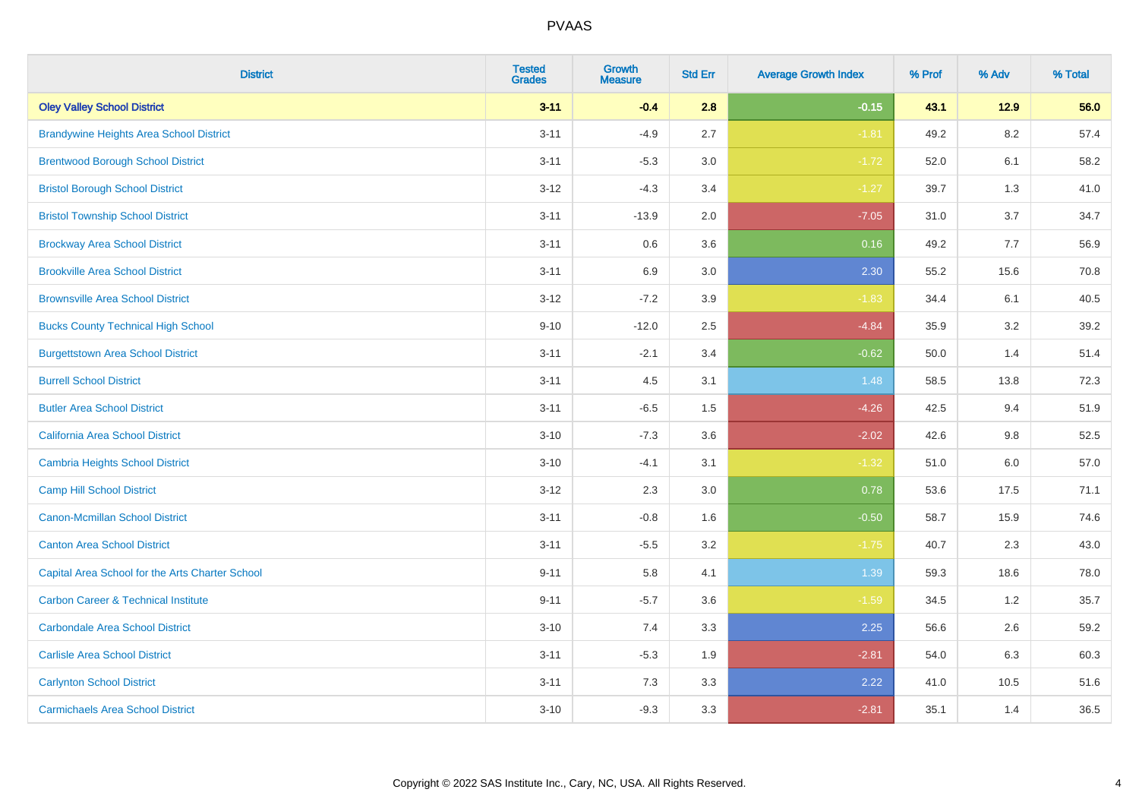| <b>District</b>                                 | <b>Tested</b><br><b>Grades</b> | Growth<br><b>Measure</b> | <b>Std Err</b> | <b>Average Growth Index</b> | % Prof | % Adv   | % Total |
|-------------------------------------------------|--------------------------------|--------------------------|----------------|-----------------------------|--------|---------|---------|
| <b>Oley Valley School District</b>              | $3 - 11$                       | $-0.4$                   | 2.8            | $-0.15$                     | 43.1   | $12.9$  | 56.0    |
| <b>Brandywine Heights Area School District</b>  | $3 - 11$                       | $-4.9$                   | 2.7            | $-1.81$                     | 49.2   | 8.2     | 57.4    |
| <b>Brentwood Borough School District</b>        | $3 - 11$                       | $-5.3$                   | 3.0            | $-1.72$                     | 52.0   | 6.1     | 58.2    |
| <b>Bristol Borough School District</b>          | $3 - 12$                       | $-4.3$                   | 3.4            | $-1.27$                     | 39.7   | 1.3     | 41.0    |
| <b>Bristol Township School District</b>         | $3 - 11$                       | $-13.9$                  | 2.0            | $-7.05$                     | 31.0   | 3.7     | 34.7    |
| <b>Brockway Area School District</b>            | $3 - 11$                       | 0.6                      | 3.6            | 0.16                        | 49.2   | 7.7     | 56.9    |
| <b>Brookville Area School District</b>          | $3 - 11$                       | 6.9                      | 3.0            | 2.30                        | 55.2   | 15.6    | 70.8    |
| <b>Brownsville Area School District</b>         | $3 - 12$                       | $-7.2$                   | 3.9            | $-1.83$                     | 34.4   | 6.1     | 40.5    |
| <b>Bucks County Technical High School</b>       | $9 - 10$                       | $-12.0$                  | 2.5            | $-4.84$                     | 35.9   | 3.2     | 39.2    |
| <b>Burgettstown Area School District</b>        | $3 - 11$                       | $-2.1$                   | 3.4            | $-0.62$                     | 50.0   | 1.4     | 51.4    |
| <b>Burrell School District</b>                  | $3 - 11$                       | 4.5                      | 3.1            | 1.48                        | 58.5   | 13.8    | 72.3    |
| <b>Butler Area School District</b>              | $3 - 11$                       | $-6.5$                   | 1.5            | $-4.26$                     | 42.5   | 9.4     | 51.9    |
| California Area School District                 | $3 - 10$                       | $-7.3$                   | 3.6            | $-2.02$                     | 42.6   | 9.8     | 52.5    |
| Cambria Heights School District                 | $3 - 10$                       | $-4.1$                   | 3.1            | $-1.32$                     | 51.0   | $6.0\,$ | 57.0    |
| <b>Camp Hill School District</b>                | $3 - 12$                       | 2.3                      | 3.0            | 0.78                        | 53.6   | 17.5    | 71.1    |
| Canon-Mcmillan School District                  | $3 - 11$                       | $-0.8$                   | 1.6            | $-0.50$                     | 58.7   | 15.9    | 74.6    |
| <b>Canton Area School District</b>              | $3 - 11$                       | $-5.5$                   | 3.2            | $-1.75$                     | 40.7   | 2.3     | 43.0    |
| Capital Area School for the Arts Charter School | $9 - 11$                       | 5.8                      | 4.1            | 1.39                        | 59.3   | 18.6    | 78.0    |
| <b>Carbon Career &amp; Technical Institute</b>  | $9 - 11$                       | $-5.7$                   | 3.6            | $-1.59$                     | 34.5   | 1.2     | 35.7    |
| <b>Carbondale Area School District</b>          | $3 - 10$                       | 7.4                      | 3.3            | 2.25                        | 56.6   | 2.6     | 59.2    |
| <b>Carlisle Area School District</b>            | $3 - 11$                       | $-5.3$                   | 1.9            | $-2.81$                     | 54.0   | 6.3     | 60.3    |
| <b>Carlynton School District</b>                | $3 - 11$                       | 7.3                      | 3.3            | 2.22                        | 41.0   | 10.5    | 51.6    |
| <b>Carmichaels Area School District</b>         | $3 - 10$                       | $-9.3$                   | 3.3            | $-2.81$                     | 35.1   | 1.4     | 36.5    |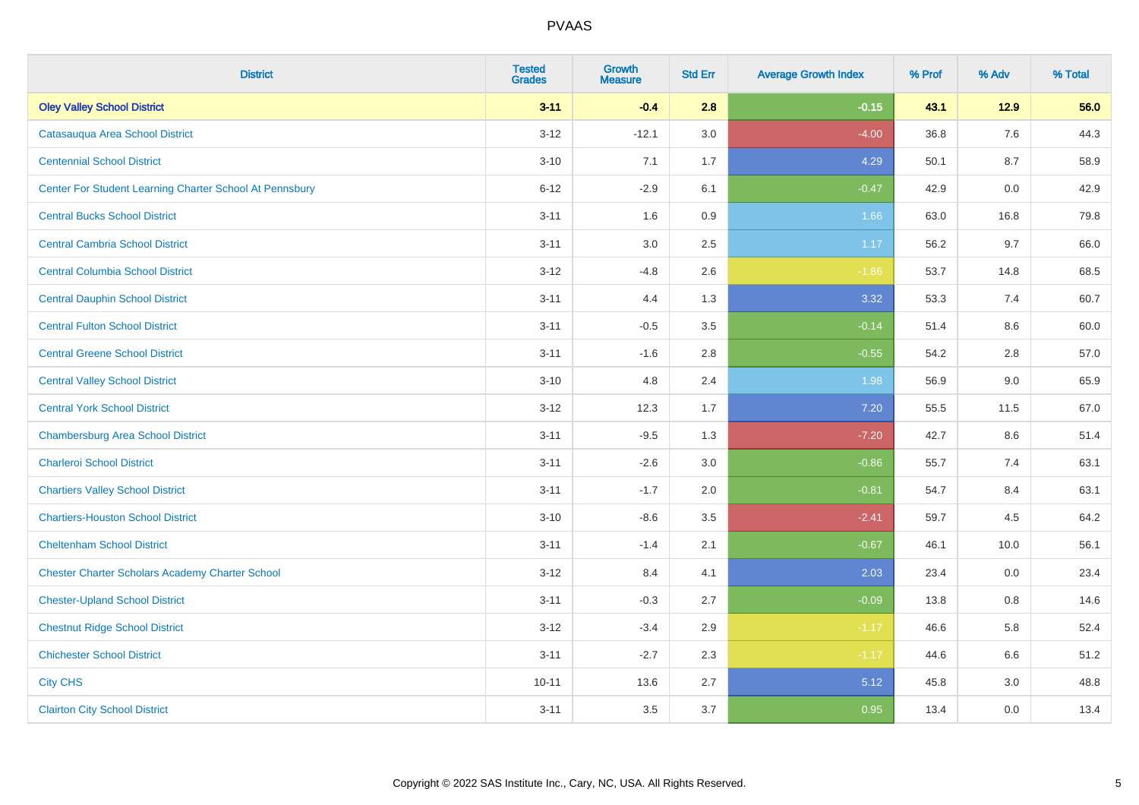| <b>District</b>                                         | <b>Tested</b><br><b>Grades</b> | <b>Growth</b><br><b>Measure</b> | <b>Std Err</b> | <b>Average Growth Index</b> | % Prof | % Adv | % Total |
|---------------------------------------------------------|--------------------------------|---------------------------------|----------------|-----------------------------|--------|-------|---------|
| <b>Oley Valley School District</b>                      | $3 - 11$                       | $-0.4$                          | 2.8            | $-0.15$                     | 43.1   | 12.9  | 56.0    |
| Catasaugua Area School District                         | $3 - 12$                       | $-12.1$                         | 3.0            | $-4.00$                     | 36.8   | 7.6   | 44.3    |
| <b>Centennial School District</b>                       | $3 - 10$                       | 7.1                             | 1.7            | 4.29                        | 50.1   | 8.7   | 58.9    |
| Center For Student Learning Charter School At Pennsbury | $6 - 12$                       | $-2.9$                          | 6.1            | $-0.47$                     | 42.9   | 0.0   | 42.9    |
| <b>Central Bucks School District</b>                    | $3 - 11$                       | 1.6                             | 0.9            | 1.66                        | 63.0   | 16.8  | 79.8    |
| <b>Central Cambria School District</b>                  | $3 - 11$                       | 3.0                             | 2.5            | 1.17                        | 56.2   | 9.7   | 66.0    |
| <b>Central Columbia School District</b>                 | $3 - 12$                       | $-4.8$                          | 2.6            | $-1.86$                     | 53.7   | 14.8  | 68.5    |
| <b>Central Dauphin School District</b>                  | $3 - 11$                       | 4.4                             | 1.3            | 3.32                        | 53.3   | 7.4   | 60.7    |
| <b>Central Fulton School District</b>                   | $3 - 11$                       | $-0.5$                          | 3.5            | $-0.14$                     | 51.4   | 8.6   | 60.0    |
| <b>Central Greene School District</b>                   | $3 - 11$                       | $-1.6$                          | 2.8            | $-0.55$                     | 54.2   | 2.8   | 57.0    |
| <b>Central Valley School District</b>                   | $3 - 10$                       | 4.8                             | 2.4            | 1.98                        | 56.9   | 9.0   | 65.9    |
| <b>Central York School District</b>                     | $3 - 12$                       | 12.3                            | 1.7            | 7.20                        | 55.5   | 11.5  | 67.0    |
| <b>Chambersburg Area School District</b>                | $3 - 11$                       | $-9.5$                          | 1.3            | $-7.20$                     | 42.7   | 8.6   | 51.4    |
| <b>Charleroi School District</b>                        | $3 - 11$                       | $-2.6$                          | 3.0            | $-0.86$                     | 55.7   | 7.4   | 63.1    |
| <b>Chartiers Valley School District</b>                 | $3 - 11$                       | $-1.7$                          | 2.0            | $-0.81$                     | 54.7   | 8.4   | 63.1    |
| <b>Chartiers-Houston School District</b>                | $3 - 10$                       | $-8.6$                          | 3.5            | $-2.41$                     | 59.7   | 4.5   | 64.2    |
| <b>Cheltenham School District</b>                       | $3 - 11$                       | $-1.4$                          | 2.1            | $-0.67$                     | 46.1   | 10.0  | 56.1    |
| <b>Chester Charter Scholars Academy Charter School</b>  | $3 - 12$                       | 8.4                             | 4.1            | 2.03                        | 23.4   | 0.0   | 23.4    |
| <b>Chester-Upland School District</b>                   | $3 - 11$                       | $-0.3$                          | 2.7            | $-0.09$                     | 13.8   | 0.8   | 14.6    |
| <b>Chestnut Ridge School District</b>                   | $3 - 12$                       | $-3.4$                          | 2.9            | $-1.17$                     | 46.6   | 5.8   | 52.4    |
| <b>Chichester School District</b>                       | $3 - 11$                       | $-2.7$                          | 2.3            | $-1.17$                     | 44.6   | 6.6   | 51.2    |
| <b>City CHS</b>                                         | $10 - 11$                      | 13.6                            | 2.7            | 5.12                        | 45.8   | 3.0   | 48.8    |
| <b>Clairton City School District</b>                    | $3 - 11$                       | 3.5                             | 3.7            | 0.95                        | 13.4   | 0.0   | 13.4    |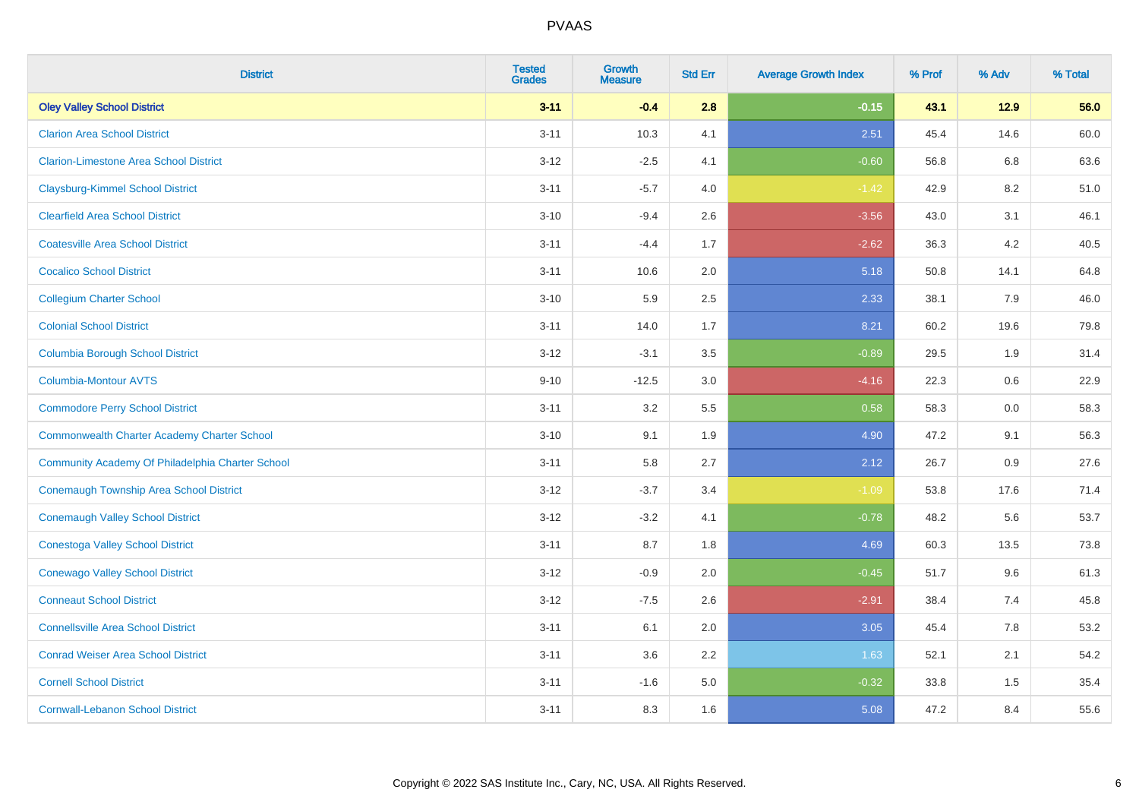| <b>District</b>                                    | <b>Tested</b><br><b>Grades</b> | Growth<br><b>Measure</b> | <b>Std Err</b> | <b>Average Growth Index</b> | % Prof | % Adv  | % Total |
|----------------------------------------------------|--------------------------------|--------------------------|----------------|-----------------------------|--------|--------|---------|
| <b>Oley Valley School District</b>                 | $3 - 11$                       | $-0.4$                   | 2.8            | $-0.15$                     | 43.1   | $12.9$ | 56.0    |
| <b>Clarion Area School District</b>                | $3 - 11$                       | 10.3                     | 4.1            | 2.51                        | 45.4   | 14.6   | 60.0    |
| <b>Clarion-Limestone Area School District</b>      | $3 - 12$                       | $-2.5$                   | 4.1            | $-0.60$                     | 56.8   | 6.8    | 63.6    |
| <b>Claysburg-Kimmel School District</b>            | $3 - 11$                       | $-5.7$                   | 4.0            | $-1.42$                     | 42.9   | 8.2    | 51.0    |
| <b>Clearfield Area School District</b>             | $3 - 10$                       | $-9.4$                   | 2.6            | $-3.56$                     | 43.0   | 3.1    | 46.1    |
| <b>Coatesville Area School District</b>            | $3 - 11$                       | $-4.4$                   | 1.7            | $-2.62$                     | 36.3   | 4.2    | 40.5    |
| <b>Cocalico School District</b>                    | $3 - 11$                       | 10.6                     | 2.0            | 5.18                        | 50.8   | 14.1   | 64.8    |
| <b>Collegium Charter School</b>                    | $3 - 10$                       | 5.9                      | 2.5            | 2.33                        | 38.1   | 7.9    | 46.0    |
| <b>Colonial School District</b>                    | $3 - 11$                       | 14.0                     | 1.7            | 8.21                        | 60.2   | 19.6   | 79.8    |
| <b>Columbia Borough School District</b>            | $3 - 12$                       | $-3.1$                   | 3.5            | $-0.89$                     | 29.5   | 1.9    | 31.4    |
| <b>Columbia-Montour AVTS</b>                       | $9 - 10$                       | $-12.5$                  | 3.0            | $-4.16$                     | 22.3   | 0.6    | 22.9    |
| <b>Commodore Perry School District</b>             | $3 - 11$                       | 3.2                      | 5.5            | 0.58                        | 58.3   | 0.0    | 58.3    |
| <b>Commonwealth Charter Academy Charter School</b> | $3 - 10$                       | 9.1                      | 1.9            | 4.90                        | 47.2   | 9.1    | 56.3    |
| Community Academy Of Philadelphia Charter School   | $3 - 11$                       | 5.8                      | 2.7            | 2.12                        | 26.7   | 0.9    | 27.6    |
| Conemaugh Township Area School District            | $3 - 12$                       | $-3.7$                   | 3.4            | $-1.09$                     | 53.8   | 17.6   | 71.4    |
| <b>Conemaugh Valley School District</b>            | $3 - 12$                       | $-3.2$                   | 4.1            | $-0.78$                     | 48.2   | 5.6    | 53.7    |
| Conestoga Valley School District                   | $3 - 11$                       | 8.7                      | 1.8            | 4.69                        | 60.3   | 13.5   | 73.8    |
| <b>Conewago Valley School District</b>             | $3 - 12$                       | $-0.9$                   | 2.0            | $-0.45$                     | 51.7   | 9.6    | 61.3    |
| <b>Conneaut School District</b>                    | $3 - 12$                       | $-7.5$                   | 2.6            | $-2.91$                     | 38.4   | 7.4    | 45.8    |
| <b>Connellsville Area School District</b>          | $3 - 11$                       | 6.1                      | 2.0            | 3.05                        | 45.4   | 7.8    | 53.2    |
| <b>Conrad Weiser Area School District</b>          | $3 - 11$                       | 3.6                      | 2.2            | 1.63                        | 52.1   | 2.1    | 54.2    |
| <b>Cornell School District</b>                     | $3 - 11$                       | $-1.6$                   | 5.0            | $-0.32$                     | 33.8   | 1.5    | 35.4    |
| <b>Cornwall-Lebanon School District</b>            | $3 - 11$                       | 8.3                      | 1.6            | 5.08                        | 47.2   | 8.4    | 55.6    |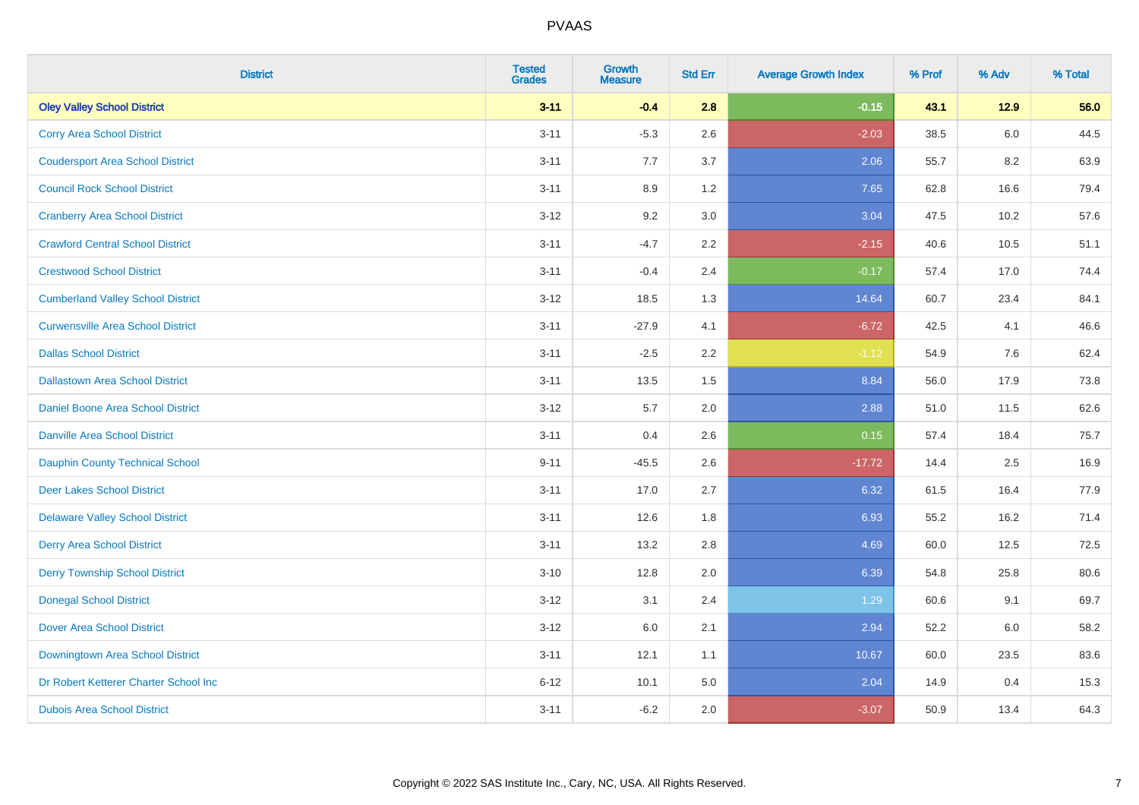| <b>District</b>                          | <b>Tested</b><br><b>Grades</b> | <b>Growth</b><br><b>Measure</b> | <b>Std Err</b> | <b>Average Growth Index</b> | % Prof | % Adv | % Total |
|------------------------------------------|--------------------------------|---------------------------------|----------------|-----------------------------|--------|-------|---------|
| <b>Oley Valley School District</b>       | $3 - 11$                       | $-0.4$                          | 2.8            | $-0.15$                     | 43.1   | 12.9  | 56.0    |
| <b>Corry Area School District</b>        | $3 - 11$                       | $-5.3$                          | 2.6            | $-2.03$                     | 38.5   | 6.0   | 44.5    |
| <b>Coudersport Area School District</b>  | $3 - 11$                       | 7.7                             | 3.7            | 2.06                        | 55.7   | 8.2   | 63.9    |
| <b>Council Rock School District</b>      | $3 - 11$                       | 8.9                             | 1.2            | 7.65                        | 62.8   | 16.6  | 79.4    |
| <b>Cranberry Area School District</b>    | $3-12$                         | 9.2                             | 3.0            | 3.04                        | 47.5   | 10.2  | 57.6    |
| <b>Crawford Central School District</b>  | $3 - 11$                       | $-4.7$                          | 2.2            | $-2.15$                     | 40.6   | 10.5  | 51.1    |
| <b>Crestwood School District</b>         | $3 - 11$                       | $-0.4$                          | 2.4            | $-0.17$                     | 57.4   | 17.0  | 74.4    |
| <b>Cumberland Valley School District</b> | $3-12$                         | 18.5                            | 1.3            | 14.64                       | 60.7   | 23.4  | 84.1    |
| <b>Curwensville Area School District</b> | $3 - 11$                       | $-27.9$                         | 4.1            | $-6.72$                     | 42.5   | 4.1   | 46.6    |
| <b>Dallas School District</b>            | $3 - 11$                       | $-2.5$                          | 2.2            | $-1.12$                     | 54.9   | 7.6   | 62.4    |
| <b>Dallastown Area School District</b>   | $3 - 11$                       | 13.5                            | 1.5            | 8.84                        | 56.0   | 17.9  | 73.8    |
| Daniel Boone Area School District        | $3 - 12$                       | 5.7                             | 2.0            | 2.88                        | 51.0   | 11.5  | 62.6    |
| <b>Danville Area School District</b>     | $3 - 11$                       | 0.4                             | 2.6            | 0.15                        | 57.4   | 18.4  | 75.7    |
| Dauphin County Technical School          | $9 - 11$                       | $-45.5$                         | 2.6            | $-17.72$                    | 14.4   | 2.5   | 16.9    |
| <b>Deer Lakes School District</b>        | $3 - 11$                       | 17.0                            | 2.7            | 6.32                        | 61.5   | 16.4  | 77.9    |
| <b>Delaware Valley School District</b>   | $3 - 11$                       | 12.6                            | 1.8            | 6.93                        | 55.2   | 16.2  | 71.4    |
| <b>Derry Area School District</b>        | $3 - 11$                       | 13.2                            | 2.8            | 4.69                        | 60.0   | 12.5  | 72.5    |
| <b>Derry Township School District</b>    | $3 - 10$                       | 12.8                            | 2.0            | 6.39                        | 54.8   | 25.8  | 80.6    |
| <b>Donegal School District</b>           | $3-12$                         | 3.1                             | 2.4            | 1.29                        | 60.6   | 9.1   | 69.7    |
| <b>Dover Area School District</b>        | $3-12$                         | 6.0                             | 2.1            | 2.94                        | 52.2   | 6.0   | 58.2    |
| Downingtown Area School District         | $3 - 11$                       | 12.1                            | 1.1            | 10.67                       | 60.0   | 23.5  | 83.6    |
| Dr Robert Ketterer Charter School Inc    | $6 - 12$                       | 10.1                            | 5.0            | 2.04                        | 14.9   | 0.4   | 15.3    |
| <b>Dubois Area School District</b>       | $3 - 11$                       | $-6.2$                          | 2.0            | $-3.07$                     | 50.9   | 13.4  | 64.3    |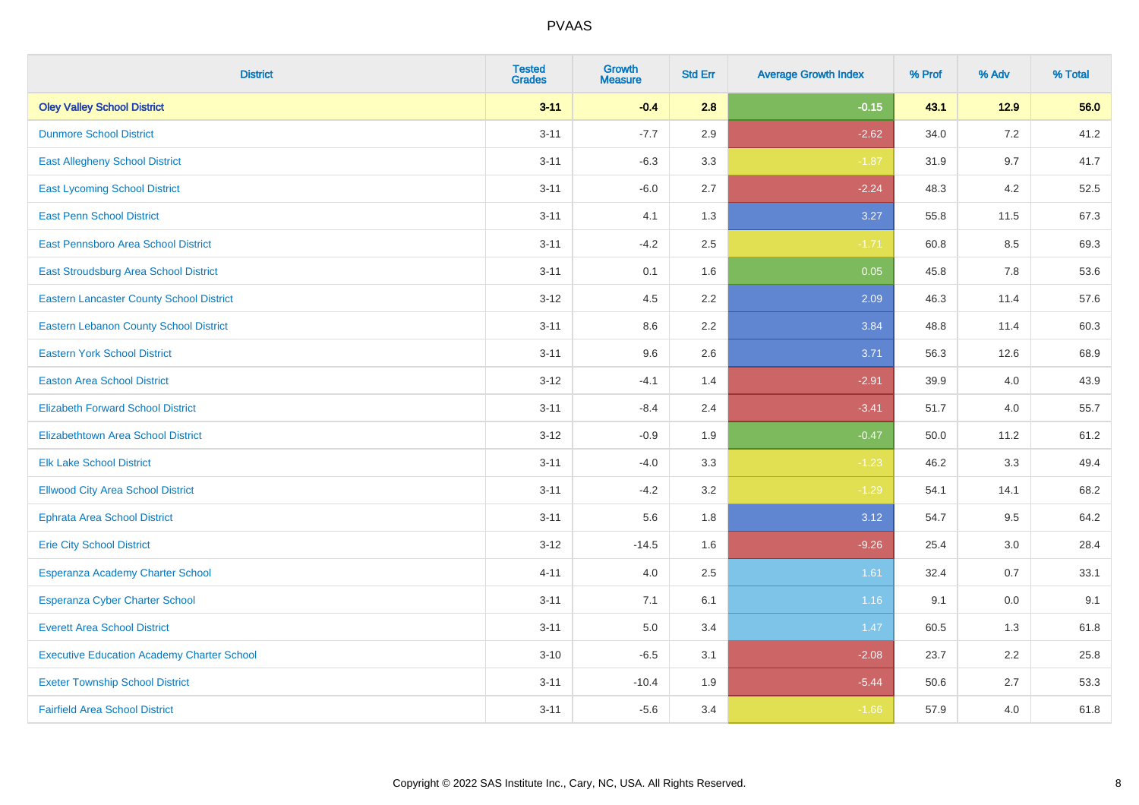| <b>District</b>                                   | <b>Tested</b><br><b>Grades</b> | <b>Growth</b><br><b>Measure</b> | <b>Std Err</b> | <b>Average Growth Index</b> | % Prof | % Adv  | % Total |
|---------------------------------------------------|--------------------------------|---------------------------------|----------------|-----------------------------|--------|--------|---------|
| <b>Oley Valley School District</b>                | $3 - 11$                       | $-0.4$                          | 2.8            | $-0.15$                     | 43.1   | $12.9$ | 56.0    |
| <b>Dunmore School District</b>                    | $3 - 11$                       | $-7.7$                          | 2.9            | $-2.62$                     | 34.0   | 7.2    | 41.2    |
| <b>East Allegheny School District</b>             | $3 - 11$                       | $-6.3$                          | 3.3            | $-1.87$                     | 31.9   | 9.7    | 41.7    |
| <b>East Lycoming School District</b>              | $3 - 11$                       | $-6.0$                          | 2.7            | $-2.24$                     | 48.3   | 4.2    | 52.5    |
| <b>East Penn School District</b>                  | $3 - 11$                       | 4.1                             | 1.3            | 3.27                        | 55.8   | 11.5   | 67.3    |
| East Pennsboro Area School District               | $3 - 11$                       | $-4.2$                          | 2.5            | $-1.71$                     | 60.8   | 8.5    | 69.3    |
| East Stroudsburg Area School District             | $3 - 11$                       | 0.1                             | 1.6            | 0.05                        | 45.8   | 7.8    | 53.6    |
| <b>Eastern Lancaster County School District</b>   | $3 - 12$                       | 4.5                             | 2.2            | 2.09                        | 46.3   | 11.4   | 57.6    |
| <b>Eastern Lebanon County School District</b>     | $3 - 11$                       | 8.6                             | 2.2            | 3.84                        | 48.8   | 11.4   | 60.3    |
| <b>Eastern York School District</b>               | $3 - 11$                       | 9.6                             | 2.6            | 3.71                        | 56.3   | 12.6   | 68.9    |
| <b>Easton Area School District</b>                | $3 - 12$                       | $-4.1$                          | 1.4            | $-2.91$                     | 39.9   | 4.0    | 43.9    |
| <b>Elizabeth Forward School District</b>          | $3 - 11$                       | $-8.4$                          | 2.4            | $-3.41$                     | 51.7   | 4.0    | 55.7    |
| <b>Elizabethtown Area School District</b>         | $3 - 12$                       | $-0.9$                          | 1.9            | $-0.47$                     | 50.0   | 11.2   | 61.2    |
| <b>Elk Lake School District</b>                   | $3 - 11$                       | $-4.0$                          | 3.3            | $-1.23$                     | 46.2   | 3.3    | 49.4    |
| <b>Ellwood City Area School District</b>          | $3 - 11$                       | $-4.2$                          | 3.2            | $-1.29$                     | 54.1   | 14.1   | 68.2    |
| <b>Ephrata Area School District</b>               | $3 - 11$                       | 5.6                             | 1.8            | 3.12                        | 54.7   | 9.5    | 64.2    |
| <b>Erie City School District</b>                  | $3 - 12$                       | $-14.5$                         | 1.6            | $-9.26$                     | 25.4   | 3.0    | 28.4    |
| Esperanza Academy Charter School                  | $4 - 11$                       | 4.0                             | 2.5            | 1.61                        | 32.4   | 0.7    | 33.1    |
| <b>Esperanza Cyber Charter School</b>             | $3 - 11$                       | 7.1                             | 6.1            | 1.16                        | 9.1    | 0.0    | 9.1     |
| <b>Everett Area School District</b>               | $3 - 11$                       | 5.0                             | 3.4            | 1.47                        | 60.5   | 1.3    | 61.8    |
| <b>Executive Education Academy Charter School</b> | $3 - 10$                       | $-6.5$                          | 3.1            | $-2.08$                     | 23.7   | 2.2    | 25.8    |
| <b>Exeter Township School District</b>            | $3 - 11$                       | $-10.4$                         | 1.9            | $-5.44$                     | 50.6   | 2.7    | 53.3    |
| <b>Fairfield Area School District</b>             | $3 - 11$                       | $-5.6$                          | 3.4            | $-1.66$                     | 57.9   | 4.0    | 61.8    |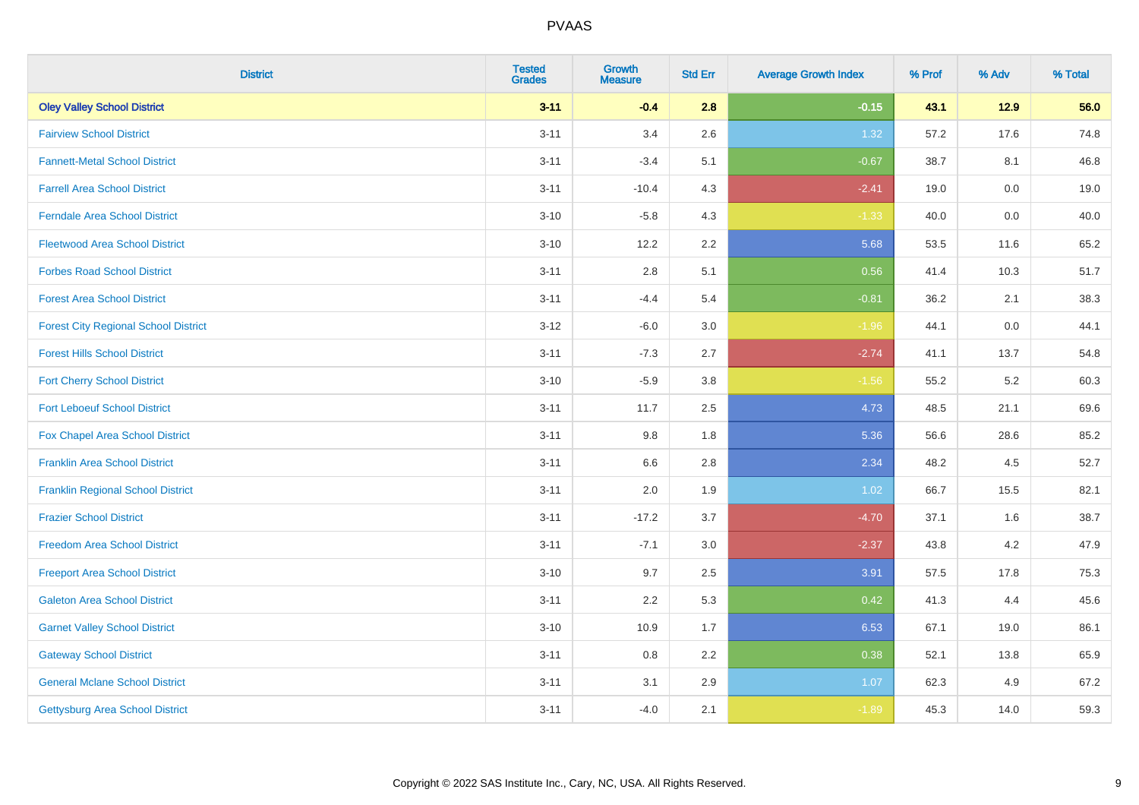| <b>District</b>                             | <b>Tested</b><br><b>Grades</b> | <b>Growth</b><br><b>Measure</b> | <b>Std Err</b> | <b>Average Growth Index</b> | % Prof | % Adv   | % Total |
|---------------------------------------------|--------------------------------|---------------------------------|----------------|-----------------------------|--------|---------|---------|
| <b>Oley Valley School District</b>          | $3 - 11$                       | $-0.4$                          | 2.8            | $-0.15$                     | 43.1   | $12.9$  | 56.0    |
| <b>Fairview School District</b>             | $3 - 11$                       | 3.4                             | 2.6            | 1.32                        | 57.2   | 17.6    | 74.8    |
| <b>Fannett-Metal School District</b>        | $3 - 11$                       | $-3.4$                          | 5.1            | $-0.67$                     | 38.7   | 8.1     | 46.8    |
| <b>Farrell Area School District</b>         | $3 - 11$                       | $-10.4$                         | 4.3            | $-2.41$                     | 19.0   | $0.0\,$ | 19.0    |
| <b>Ferndale Area School District</b>        | $3 - 10$                       | $-5.8$                          | 4.3            | $-1.33$                     | 40.0   | 0.0     | 40.0    |
| <b>Fleetwood Area School District</b>       | $3 - 10$                       | 12.2                            | 2.2            | 5.68                        | 53.5   | 11.6    | 65.2    |
| <b>Forbes Road School District</b>          | $3 - 11$                       | 2.8                             | 5.1            | 0.56                        | 41.4   | 10.3    | 51.7    |
| <b>Forest Area School District</b>          | $3 - 11$                       | $-4.4$                          | 5.4            | $-0.81$                     | 36.2   | 2.1     | 38.3    |
| <b>Forest City Regional School District</b> | $3 - 12$                       | $-6.0$                          | 3.0            | $-1.96$                     | 44.1   | $0.0\,$ | 44.1    |
| <b>Forest Hills School District</b>         | $3 - 11$                       | $-7.3$                          | 2.7            | $-2.74$                     | 41.1   | 13.7    | 54.8    |
| <b>Fort Cherry School District</b>          | $3 - 10$                       | $-5.9$                          | 3.8            | $-1.56$                     | 55.2   | $5.2\,$ | 60.3    |
| <b>Fort Leboeuf School District</b>         | $3 - 11$                       | 11.7                            | 2.5            | 4.73                        | 48.5   | 21.1    | 69.6    |
| Fox Chapel Area School District             | $3 - 11$                       | 9.8                             | 1.8            | 5.36                        | 56.6   | 28.6    | 85.2    |
| <b>Franklin Area School District</b>        | $3 - 11$                       | 6.6                             | 2.8            | 2.34                        | 48.2   | 4.5     | 52.7    |
| <b>Franklin Regional School District</b>    | $3 - 11$                       | 2.0                             | 1.9            | 1.02                        | 66.7   | 15.5    | 82.1    |
| <b>Frazier School District</b>              | $3 - 11$                       | $-17.2$                         | 3.7            | $-4.70$                     | 37.1   | 1.6     | 38.7    |
| <b>Freedom Area School District</b>         | $3 - 11$                       | $-7.1$                          | 3.0            | $-2.37$                     | 43.8   | 4.2     | 47.9    |
| <b>Freeport Area School District</b>        | $3 - 10$                       | 9.7                             | 2.5            | 3.91                        | 57.5   | 17.8    | 75.3    |
| <b>Galeton Area School District</b>         | $3 - 11$                       | 2.2                             | 5.3            | 0.42                        | 41.3   | 4.4     | 45.6    |
| <b>Garnet Valley School District</b>        | $3 - 10$                       | 10.9                            | 1.7            | 6.53                        | 67.1   | 19.0    | 86.1    |
| <b>Gateway School District</b>              | $3 - 11$                       | 0.8                             | 2.2            | 0.38                        | 52.1   | 13.8    | 65.9    |
| <b>General Mclane School District</b>       | $3 - 11$                       | 3.1                             | 2.9            | 1.07                        | 62.3   | 4.9     | 67.2    |
| Gettysburg Area School District             | $3 - 11$                       | $-4.0$                          | 2.1            | $-1.89$                     | 45.3   | 14.0    | 59.3    |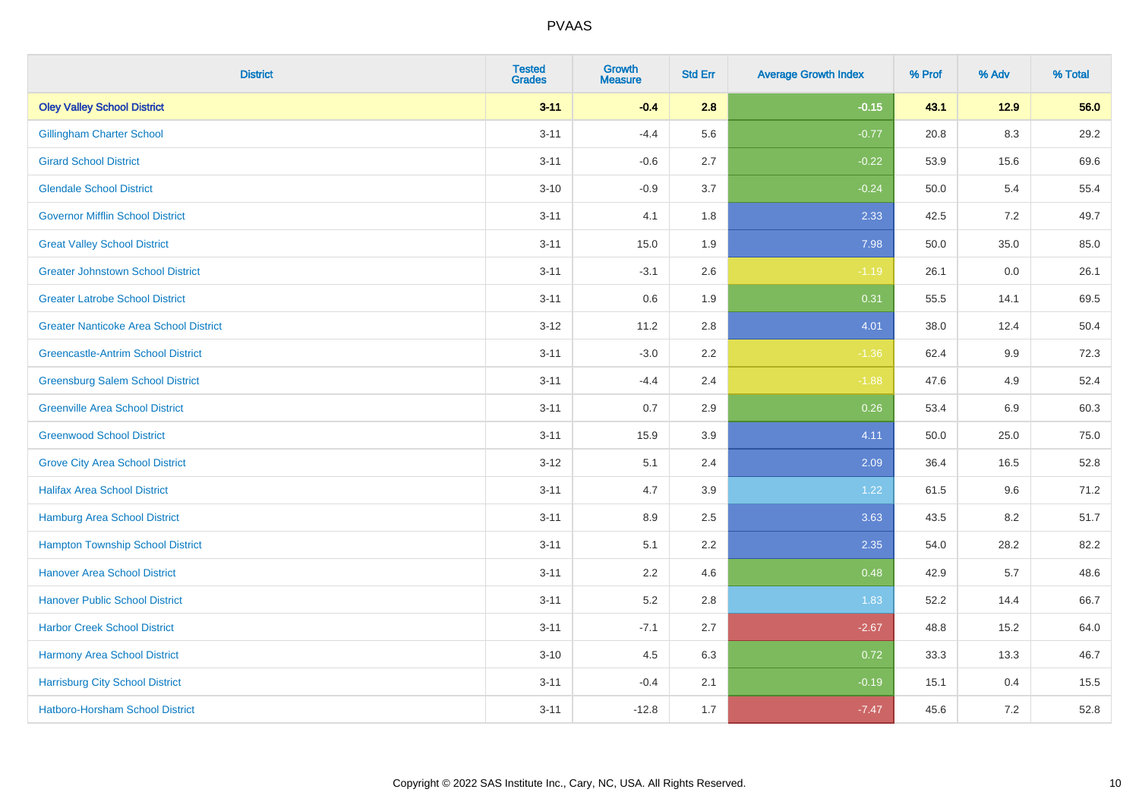| <b>District</b>                               | <b>Tested</b><br><b>Grades</b> | <b>Growth</b><br><b>Measure</b> | <b>Std Err</b> | <b>Average Growth Index</b> | % Prof | % Adv   | % Total |
|-----------------------------------------------|--------------------------------|---------------------------------|----------------|-----------------------------|--------|---------|---------|
| <b>Oley Valley School District</b>            | $3 - 11$                       | $-0.4$                          | 2.8            | $-0.15$                     | 43.1   | $12.9$  | 56.0    |
| <b>Gillingham Charter School</b>              | $3 - 11$                       | $-4.4$                          | 5.6            | $-0.77$                     | 20.8   | 8.3     | 29.2    |
| <b>Girard School District</b>                 | $3 - 11$                       | $-0.6$                          | 2.7            | $-0.22$                     | 53.9   | 15.6    | 69.6    |
| <b>Glendale School District</b>               | $3 - 10$                       | $-0.9$                          | 3.7            | $-0.24$                     | 50.0   | 5.4     | 55.4    |
| <b>Governor Mifflin School District</b>       | $3 - 11$                       | 4.1                             | 1.8            | 2.33                        | 42.5   | 7.2     | 49.7    |
| <b>Great Valley School District</b>           | $3 - 11$                       | 15.0                            | 1.9            | 7.98                        | 50.0   | 35.0    | 85.0    |
| <b>Greater Johnstown School District</b>      | $3 - 11$                       | $-3.1$                          | 2.6            | $-1.19$                     | 26.1   | $0.0\,$ | 26.1    |
| <b>Greater Latrobe School District</b>        | $3 - 11$                       | 0.6                             | 1.9            | 0.31                        | 55.5   | 14.1    | 69.5    |
| <b>Greater Nanticoke Area School District</b> | $3 - 12$                       | 11.2                            | 2.8            | 4.01                        | 38.0   | 12.4    | 50.4    |
| <b>Greencastle-Antrim School District</b>     | $3 - 11$                       | $-3.0$                          | 2.2            | $-1.36$                     | 62.4   | 9.9     | 72.3    |
| <b>Greensburg Salem School District</b>       | $3 - 11$                       | $-4.4$                          | 2.4            | $-1.88$                     | 47.6   | 4.9     | 52.4    |
| <b>Greenville Area School District</b>        | $3 - 11$                       | 0.7                             | 2.9            | 0.26                        | 53.4   | 6.9     | 60.3    |
| <b>Greenwood School District</b>              | $3 - 11$                       | 15.9                            | 3.9            | 4.11                        | 50.0   | 25.0    | 75.0    |
| <b>Grove City Area School District</b>        | $3-12$                         | 5.1                             | 2.4            | 2.09                        | 36.4   | 16.5    | 52.8    |
| <b>Halifax Area School District</b>           | $3 - 11$                       | 4.7                             | 3.9            | 1.22                        | 61.5   | 9.6     | 71.2    |
| <b>Hamburg Area School District</b>           | $3 - 11$                       | 8.9                             | 2.5            | 3.63                        | 43.5   | 8.2     | 51.7    |
| <b>Hampton Township School District</b>       | $3 - 11$                       | 5.1                             | 2.2            | 2.35                        | 54.0   | 28.2    | 82.2    |
| <b>Hanover Area School District</b>           | $3 - 11$                       | 2.2                             | 4.6            | 0.48                        | 42.9   | 5.7     | 48.6    |
| <b>Hanover Public School District</b>         | $3 - 11$                       | 5.2                             | 2.8            | 1.83                        | 52.2   | 14.4    | 66.7    |
| <b>Harbor Creek School District</b>           | $3 - 11$                       | $-7.1$                          | 2.7            | $-2.67$                     | 48.8   | 15.2    | 64.0    |
| Harmony Area School District                  | $3 - 10$                       | 4.5                             | 6.3            | 0.72                        | 33.3   | 13.3    | 46.7    |
| <b>Harrisburg City School District</b>        | $3 - 11$                       | $-0.4$                          | 2.1            | $-0.19$                     | 15.1   | 0.4     | 15.5    |
| Hatboro-Horsham School District               | $3 - 11$                       | $-12.8$                         | 1.7            | $-7.47$                     | 45.6   | 7.2     | 52.8    |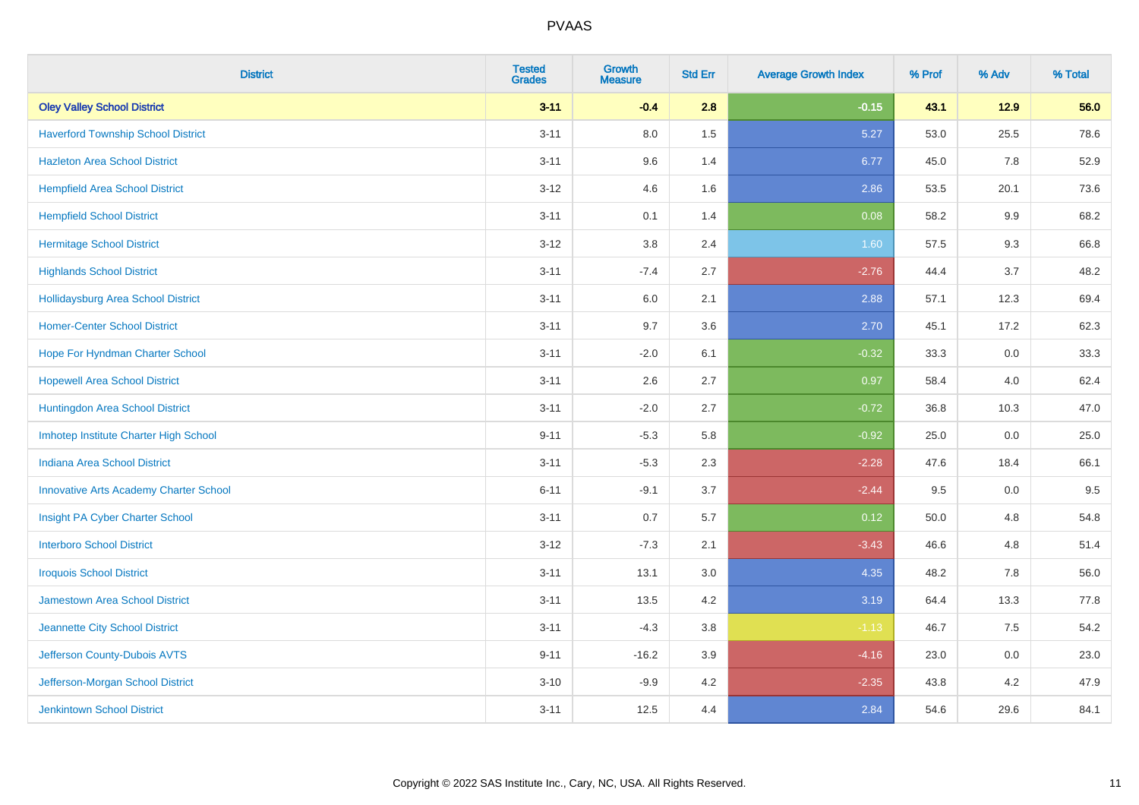| <b>District</b>                               | <b>Tested</b><br><b>Grades</b> | <b>Growth</b><br><b>Measure</b> | <b>Std Err</b> | <b>Average Growth Index</b> | % Prof | % Adv   | % Total |
|-----------------------------------------------|--------------------------------|---------------------------------|----------------|-----------------------------|--------|---------|---------|
| <b>Oley Valley School District</b>            | $3 - 11$                       | $-0.4$                          | 2.8            | $-0.15$                     | 43.1   | $12.9$  | 56.0    |
| <b>Haverford Township School District</b>     | $3 - 11$                       | 8.0                             | 1.5            | 5.27                        | 53.0   | 25.5    | 78.6    |
| <b>Hazleton Area School District</b>          | $3 - 11$                       | 9.6                             | 1.4            | 6.77                        | 45.0   | 7.8     | 52.9    |
| <b>Hempfield Area School District</b>         | $3 - 12$                       | 4.6                             | 1.6            | 2.86                        | 53.5   | 20.1    | 73.6    |
| <b>Hempfield School District</b>              | $3 - 11$                       | 0.1                             | 1.4            | 0.08                        | 58.2   | 9.9     | 68.2    |
| <b>Hermitage School District</b>              | $3 - 12$                       | 3.8                             | 2.4            | 1.60                        | 57.5   | 9.3     | 66.8    |
| <b>Highlands School District</b>              | $3 - 11$                       | $-7.4$                          | 2.7            | $-2.76$                     | 44.4   | 3.7     | 48.2    |
| Hollidaysburg Area School District            | $3 - 11$                       | 6.0                             | 2.1            | 2.88                        | 57.1   | 12.3    | 69.4    |
| <b>Homer-Center School District</b>           | $3 - 11$                       | 9.7                             | 3.6            | 2.70                        | 45.1   | 17.2    | 62.3    |
| Hope For Hyndman Charter School               | $3 - 11$                       | $-2.0$                          | 6.1            | $-0.32$                     | 33.3   | 0.0     | 33.3    |
| <b>Hopewell Area School District</b>          | $3 - 11$                       | 2.6                             | 2.7            | 0.97                        | 58.4   | 4.0     | 62.4    |
| Huntingdon Area School District               | $3 - 11$                       | $-2.0$                          | 2.7            | $-0.72$                     | 36.8   | 10.3    | 47.0    |
| Imhotep Institute Charter High School         | $9 - 11$                       | $-5.3$                          | 5.8            | $-0.92$                     | 25.0   | 0.0     | 25.0    |
| <b>Indiana Area School District</b>           | $3 - 11$                       | $-5.3$                          | 2.3            | $-2.28$                     | 47.6   | 18.4    | 66.1    |
| <b>Innovative Arts Academy Charter School</b> | $6 - 11$                       | $-9.1$                          | 3.7            | $-2.44$                     | 9.5    | $0.0\,$ | 9.5     |
| Insight PA Cyber Charter School               | $3 - 11$                       | 0.7                             | 5.7            | 0.12                        | 50.0   | 4.8     | 54.8    |
| <b>Interboro School District</b>              | $3 - 12$                       | $-7.3$                          | 2.1            | $-3.43$                     | 46.6   | 4.8     | 51.4    |
| <b>Iroquois School District</b>               | $3 - 11$                       | 13.1                            | 3.0            | 4.35                        | 48.2   | 7.8     | 56.0    |
| Jamestown Area School District                | $3 - 11$                       | 13.5                            | 4.2            | 3.19                        | 64.4   | 13.3    | 77.8    |
| Jeannette City School District                | $3 - 11$                       | $-4.3$                          | $3.8\,$        | $-1.13$                     | 46.7   | 7.5     | 54.2    |
| Jefferson County-Dubois AVTS                  | $9 - 11$                       | $-16.2$                         | 3.9            | $-4.16$                     | 23.0   | 0.0     | 23.0    |
| Jefferson-Morgan School District              | $3 - 10$                       | $-9.9$                          | 4.2            | $-2.35$                     | 43.8   | 4.2     | 47.9    |
| <b>Jenkintown School District</b>             | $3 - 11$                       | 12.5                            | 4.4            | 2.84                        | 54.6   | 29.6    | 84.1    |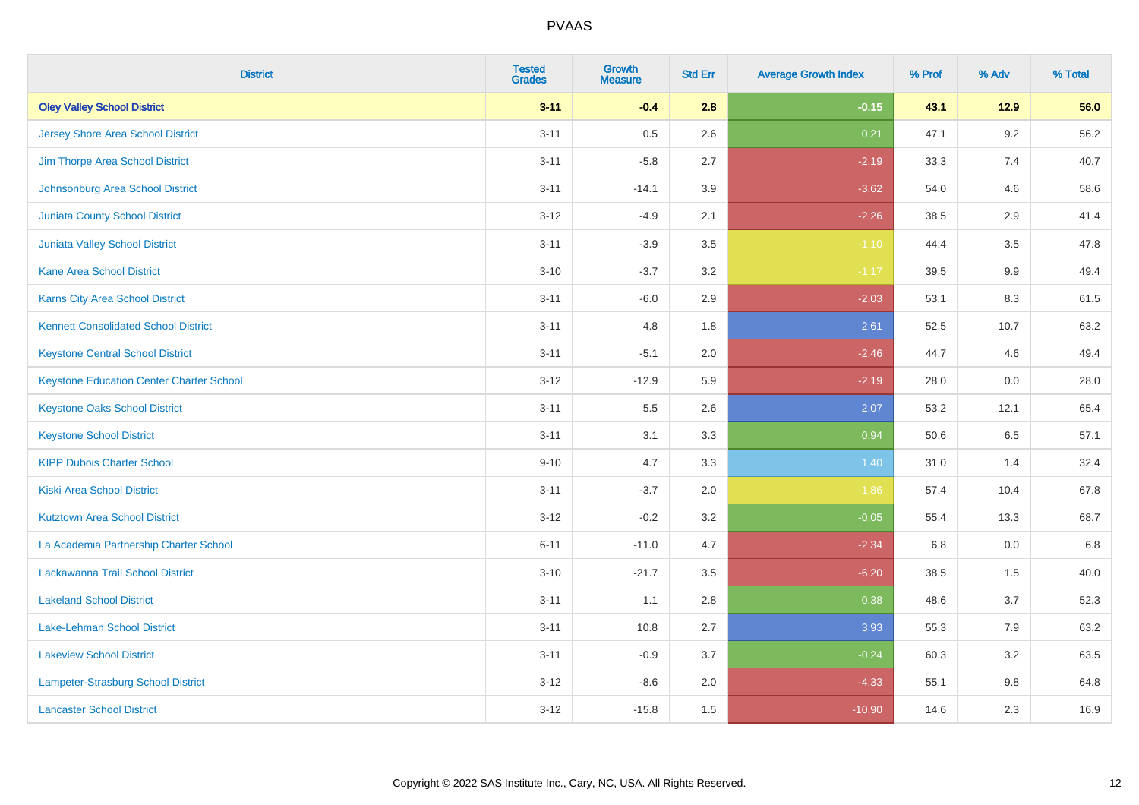| <b>District</b>                                 | <b>Tested</b><br><b>Grades</b> | <b>Growth</b><br><b>Measure</b> | <b>Std Err</b> | <b>Average Growth Index</b> | % Prof | % Adv  | % Total |
|-------------------------------------------------|--------------------------------|---------------------------------|----------------|-----------------------------|--------|--------|---------|
| <b>Oley Valley School District</b>              | $3 - 11$                       | $-0.4$                          | 2.8            | $-0.15$                     | 43.1   | $12.9$ | 56.0    |
| Jersey Shore Area School District               | $3 - 11$                       | 0.5                             | 2.6            | 0.21                        | 47.1   | 9.2    | 56.2    |
| Jim Thorpe Area School District                 | $3 - 11$                       | $-5.8$                          | 2.7            | $-2.19$                     | 33.3   | 7.4    | 40.7    |
| Johnsonburg Area School District                | $3 - 11$                       | $-14.1$                         | 3.9            | $-3.62$                     | 54.0   | 4.6    | 58.6    |
| <b>Juniata County School District</b>           | $3 - 12$                       | $-4.9$                          | 2.1            | $-2.26$                     | 38.5   | 2.9    | 41.4    |
| <b>Juniata Valley School District</b>           | $3 - 11$                       | $-3.9$                          | 3.5            | $-1.10$                     | 44.4   | 3.5    | 47.8    |
| <b>Kane Area School District</b>                | $3 - 10$                       | $-3.7$                          | 3.2            | $-1.17$                     | 39.5   | 9.9    | 49.4    |
| <b>Karns City Area School District</b>          | $3 - 11$                       | $-6.0$                          | 2.9            | $-2.03$                     | 53.1   | 8.3    | 61.5    |
| <b>Kennett Consolidated School District</b>     | $3 - 11$                       | 4.8                             | 1.8            | 2.61                        | 52.5   | 10.7   | 63.2    |
| <b>Keystone Central School District</b>         | $3 - 11$                       | $-5.1$                          | 2.0            | $-2.46$                     | 44.7   | 4.6    | 49.4    |
| <b>Keystone Education Center Charter School</b> | $3 - 12$                       | $-12.9$                         | 5.9            | $-2.19$                     | 28.0   | 0.0    | 28.0    |
| <b>Keystone Oaks School District</b>            | $3 - 11$                       | 5.5                             | 2.6            | 2.07                        | 53.2   | 12.1   | 65.4    |
| <b>Keystone School District</b>                 | $3 - 11$                       | 3.1                             | 3.3            | 0.94                        | 50.6   | 6.5    | 57.1    |
| <b>KIPP Dubois Charter School</b>               | $9 - 10$                       | 4.7                             | 3.3            | 1.40                        | 31.0   | 1.4    | 32.4    |
| <b>Kiski Area School District</b>               | $3 - 11$                       | $-3.7$                          | 2.0            | $-1.86$                     | 57.4   | 10.4   | 67.8    |
| <b>Kutztown Area School District</b>            | $3 - 12$                       | $-0.2$                          | 3.2            | $-0.05$                     | 55.4   | 13.3   | 68.7    |
| La Academia Partnership Charter School          | $6 - 11$                       | $-11.0$                         | 4.7            | $-2.34$                     | 6.8    | 0.0    | 6.8     |
| Lackawanna Trail School District                | $3 - 10$                       | $-21.7$                         | 3.5            | $-6.20$                     | 38.5   | 1.5    | 40.0    |
| <b>Lakeland School District</b>                 | $3 - 11$                       | 1.1                             | 2.8            | 0.38                        | 48.6   | 3.7    | 52.3    |
| Lake-Lehman School District                     | $3 - 11$                       | 10.8                            | 2.7            | 3.93                        | 55.3   | 7.9    | 63.2    |
| <b>Lakeview School District</b>                 | $3 - 11$                       | $-0.9$                          | 3.7            | $-0.24$                     | 60.3   | 3.2    | 63.5    |
| Lampeter-Strasburg School District              | $3 - 12$                       | $-8.6$                          | 2.0            | $-4.33$                     | 55.1   | 9.8    | 64.8    |
| <b>Lancaster School District</b>                | $3 - 12$                       | $-15.8$                         | 1.5            | $-10.90$                    | 14.6   | 2.3    | 16.9    |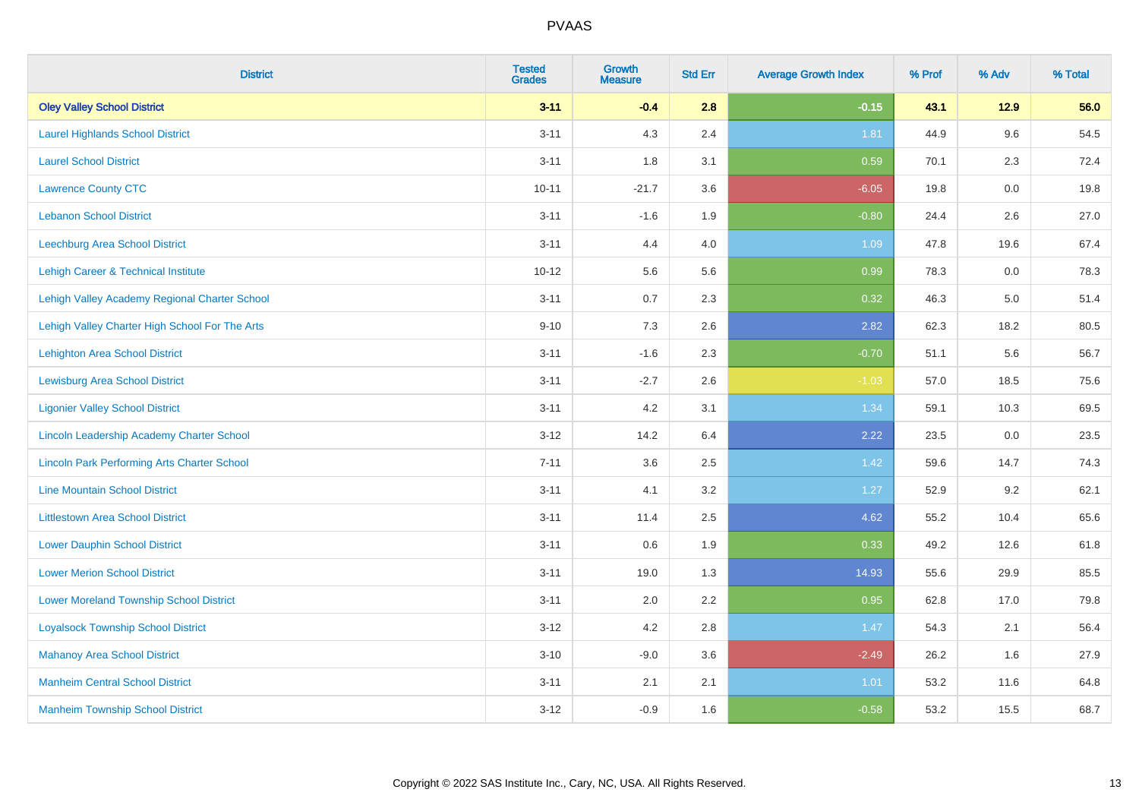| <b>District</b>                                    | <b>Tested</b><br><b>Grades</b> | Growth<br><b>Measure</b> | <b>Std Err</b> | <b>Average Growth Index</b> | % Prof | % Adv   | % Total |
|----------------------------------------------------|--------------------------------|--------------------------|----------------|-----------------------------|--------|---------|---------|
| <b>Oley Valley School District</b>                 | $3 - 11$                       | $-0.4$                   | 2.8            | $-0.15$                     | 43.1   | $12.9$  | 56.0    |
| <b>Laurel Highlands School District</b>            | $3 - 11$                       | 4.3                      | 2.4            | 1.81                        | 44.9   | 9.6     | 54.5    |
| <b>Laurel School District</b>                      | $3 - 11$                       | 1.8                      | 3.1            | 0.59                        | 70.1   | 2.3     | 72.4    |
| <b>Lawrence County CTC</b>                         | $10 - 11$                      | $-21.7$                  | 3.6            | $-6.05$                     | 19.8   | $0.0\,$ | 19.8    |
| <b>Lebanon School District</b>                     | $3 - 11$                       | $-1.6$                   | 1.9            | $-0.80$                     | 24.4   | 2.6     | 27.0    |
| <b>Leechburg Area School District</b>              | $3 - 11$                       | 4.4                      | 4.0            | 1.09                        | 47.8   | 19.6    | 67.4    |
| Lehigh Career & Technical Institute                | $10 - 12$                      | 5.6                      | 5.6            | 0.99                        | 78.3   | 0.0     | 78.3    |
| Lehigh Valley Academy Regional Charter School      | $3 - 11$                       | 0.7                      | 2.3            | 0.32                        | 46.3   | 5.0     | 51.4    |
| Lehigh Valley Charter High School For The Arts     | $9 - 10$                       | 7.3                      | 2.6            | 2.82                        | 62.3   | 18.2    | 80.5    |
| <b>Lehighton Area School District</b>              | $3 - 11$                       | $-1.6$                   | 2.3            | $-0.70$                     | 51.1   | 5.6     | 56.7    |
| <b>Lewisburg Area School District</b>              | $3 - 11$                       | $-2.7$                   | 2.6            | $-1.03$                     | 57.0   | 18.5    | 75.6    |
| <b>Ligonier Valley School District</b>             | $3 - 11$                       | 4.2                      | 3.1            | 1.34                        | 59.1   | 10.3    | 69.5    |
| Lincoln Leadership Academy Charter School          | $3 - 12$                       | 14.2                     | 6.4            | 2.22                        | 23.5   | 0.0     | 23.5    |
| <b>Lincoln Park Performing Arts Charter School</b> | $7 - 11$                       | 3.6                      | 2.5            | 1.42                        | 59.6   | 14.7    | 74.3    |
| <b>Line Mountain School District</b>               | $3 - 11$                       | 4.1                      | 3.2            | 1.27                        | 52.9   | 9.2     | 62.1    |
| <b>Littlestown Area School District</b>            | $3 - 11$                       | 11.4                     | 2.5            | 4.62                        | 55.2   | 10.4    | 65.6    |
| <b>Lower Dauphin School District</b>               | $3 - 11$                       | 0.6                      | 1.9            | 0.33                        | 49.2   | 12.6    | 61.8    |
| <b>Lower Merion School District</b>                | $3 - 11$                       | 19.0                     | 1.3            | 14.93                       | 55.6   | 29.9    | 85.5    |
| <b>Lower Moreland Township School District</b>     | $3 - 11$                       | 2.0                      | 2.2            | 0.95                        | 62.8   | 17.0    | 79.8    |
| <b>Loyalsock Township School District</b>          | $3 - 12$                       | 4.2                      | 2.8            | 1.47                        | 54.3   | 2.1     | 56.4    |
| <b>Mahanoy Area School District</b>                | $3 - 10$                       | $-9.0$                   | 3.6            | $-2.49$                     | 26.2   | 1.6     | 27.9    |
| <b>Manheim Central School District</b>             | $3 - 11$                       | 2.1                      | 2.1            | 1.01                        | 53.2   | 11.6    | 64.8    |
| <b>Manheim Township School District</b>            | $3 - 12$                       | $-0.9$                   | 1.6            | $-0.58$                     | 53.2   | 15.5    | 68.7    |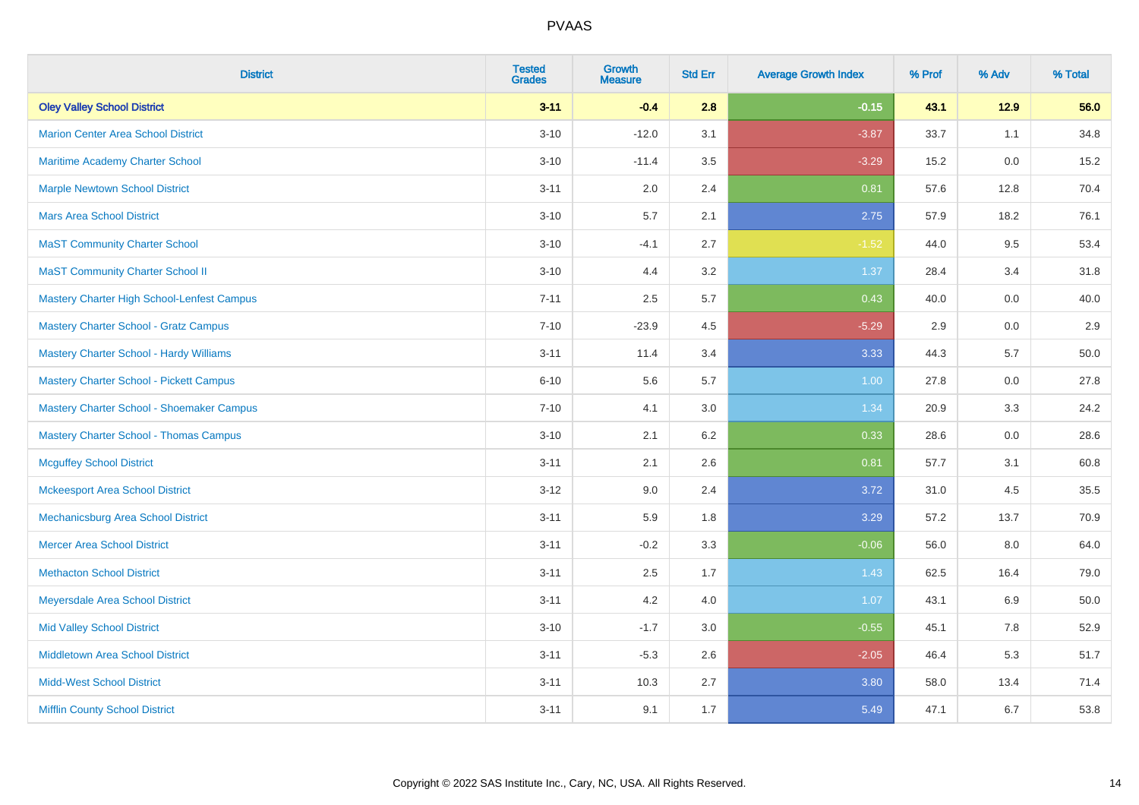| <b>District</b>                                   | <b>Tested</b><br><b>Grades</b> | <b>Growth</b><br><b>Measure</b> | <b>Std Err</b> | <b>Average Growth Index</b> | % Prof | % Adv  | % Total |
|---------------------------------------------------|--------------------------------|---------------------------------|----------------|-----------------------------|--------|--------|---------|
| <b>Oley Valley School District</b>                | $3 - 11$                       | $-0.4$                          | 2.8            | $-0.15$                     | 43.1   | $12.9$ | 56.0    |
| <b>Marion Center Area School District</b>         | $3 - 10$                       | $-12.0$                         | 3.1            | $-3.87$                     | 33.7   | 1.1    | 34.8    |
| Maritime Academy Charter School                   | $3 - 10$                       | $-11.4$                         | 3.5            | $-3.29$                     | 15.2   | 0.0    | 15.2    |
| <b>Marple Newtown School District</b>             | $3 - 11$                       | 2.0                             | 2.4            | 0.81                        | 57.6   | 12.8   | 70.4    |
| <b>Mars Area School District</b>                  | $3 - 10$                       | 5.7                             | 2.1            | 2.75                        | 57.9   | 18.2   | 76.1    |
| <b>MaST Community Charter School</b>              | $3 - 10$                       | $-4.1$                          | 2.7            | $-1.52$                     | 44.0   | 9.5    | 53.4    |
| <b>MaST Community Charter School II</b>           | $3 - 10$                       | 4.4                             | 3.2            | 1.37                        | 28.4   | 3.4    | 31.8    |
| <b>Mastery Charter High School-Lenfest Campus</b> | $7 - 11$                       | 2.5                             | 5.7            | 0.43                        | 40.0   | 0.0    | 40.0    |
| <b>Mastery Charter School - Gratz Campus</b>      | $7 - 10$                       | $-23.9$                         | 4.5            | $-5.29$                     | 2.9    | 0.0    | 2.9     |
| <b>Mastery Charter School - Hardy Williams</b>    | $3 - 11$                       | 11.4                            | 3.4            | 3.33                        | 44.3   | 5.7    | 50.0    |
| <b>Mastery Charter School - Pickett Campus</b>    | $6 - 10$                       | 5.6                             | 5.7            | 1.00                        | 27.8   | 0.0    | 27.8    |
| Mastery Charter School - Shoemaker Campus         | $7 - 10$                       | 4.1                             | 3.0            | 1.34                        | 20.9   | 3.3    | 24.2    |
| <b>Mastery Charter School - Thomas Campus</b>     | $3 - 10$                       | 2.1                             | 6.2            | 0.33                        | 28.6   | 0.0    | 28.6    |
| <b>Mcguffey School District</b>                   | $3 - 11$                       | 2.1                             | 2.6            | 0.81                        | 57.7   | 3.1    | 60.8    |
| <b>Mckeesport Area School District</b>            | $3 - 12$                       | 9.0                             | 2.4            | 3.72                        | 31.0   | 4.5    | 35.5    |
| Mechanicsburg Area School District                | $3 - 11$                       | 5.9                             | 1.8            | 3.29                        | 57.2   | 13.7   | 70.9    |
| <b>Mercer Area School District</b>                | $3 - 11$                       | $-0.2$                          | 3.3            | $-0.06$                     | 56.0   | 8.0    | 64.0    |
| <b>Methacton School District</b>                  | $3 - 11$                       | 2.5                             | 1.7            | 1.43                        | 62.5   | 16.4   | 79.0    |
| Meyersdale Area School District                   | $3 - 11$                       | 4.2                             | 4.0            | 1.07                        | 43.1   | 6.9    | 50.0    |
| <b>Mid Valley School District</b>                 | $3 - 10$                       | $-1.7$                          | 3.0            | $-0.55$                     | 45.1   | 7.8    | 52.9    |
| <b>Middletown Area School District</b>            | $3 - 11$                       | $-5.3$                          | 2.6            | $-2.05$                     | 46.4   | 5.3    | 51.7    |
| <b>Midd-West School District</b>                  | $3 - 11$                       | 10.3                            | 2.7            | 3.80                        | 58.0   | 13.4   | 71.4    |
| <b>Mifflin County School District</b>             | $3 - 11$                       | 9.1                             | 1.7            | 5.49                        | 47.1   | 6.7    | 53.8    |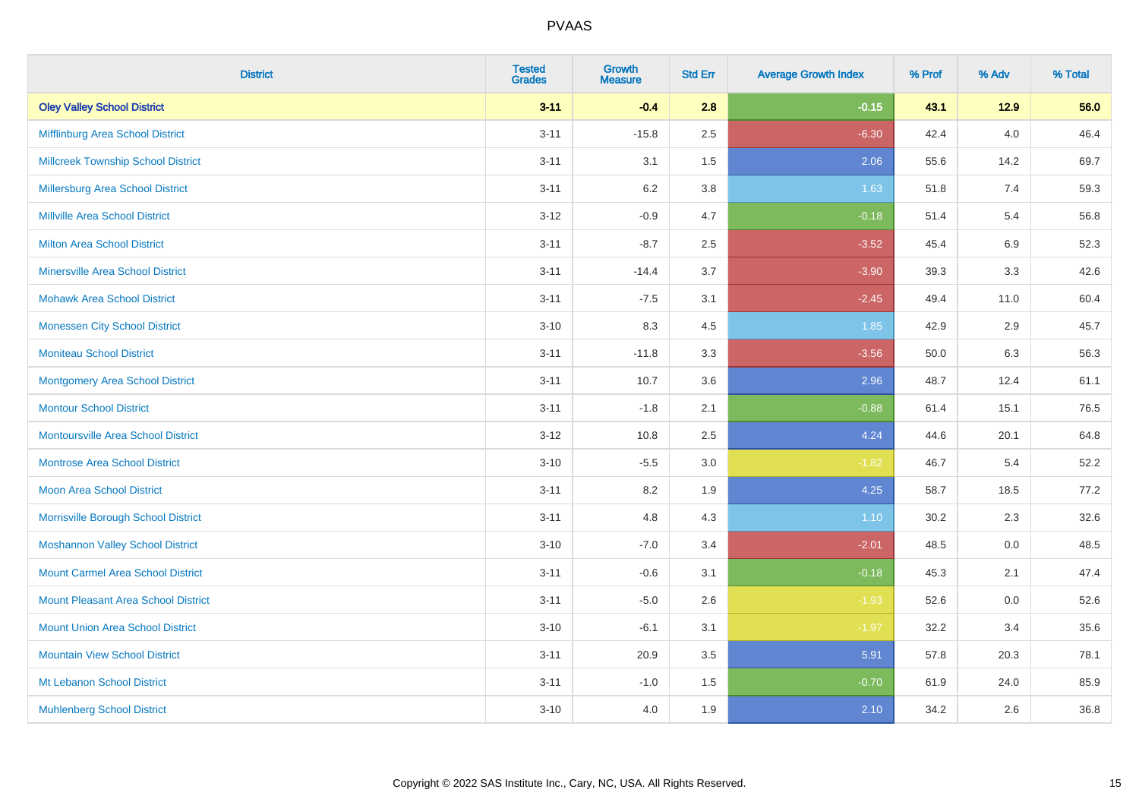| <b>District</b>                            | <b>Tested</b><br><b>Grades</b> | Growth<br><b>Measure</b> | <b>Std Err</b> | <b>Average Growth Index</b> | % Prof | % Adv   | % Total |
|--------------------------------------------|--------------------------------|--------------------------|----------------|-----------------------------|--------|---------|---------|
| <b>Oley Valley School District</b>         | $3 - 11$                       | $-0.4$                   | 2.8            | $-0.15$                     | 43.1   | $12.9$  | 56.0    |
| Mifflinburg Area School District           | $3 - 11$                       | $-15.8$                  | 2.5            | $-6.30$                     | 42.4   | $4.0\,$ | 46.4    |
| <b>Millcreek Township School District</b>  | $3 - 11$                       | 3.1                      | 1.5            | 2.06                        | 55.6   | 14.2    | 69.7    |
| Millersburg Area School District           | $3 - 11$                       | $6.2\,$                  | 3.8            | 1.63                        | 51.8   | 7.4     | 59.3    |
| Millville Area School District             | $3 - 12$                       | $-0.9$                   | 4.7            | $-0.18$                     | 51.4   | 5.4     | 56.8    |
| <b>Milton Area School District</b>         | $3 - 11$                       | $-8.7$                   | 2.5            | $-3.52$                     | 45.4   | 6.9     | 52.3    |
| <b>Minersville Area School District</b>    | $3 - 11$                       | $-14.4$                  | 3.7            | $-3.90$                     | 39.3   | 3.3     | 42.6    |
| <b>Mohawk Area School District</b>         | $3 - 11$                       | $-7.5$                   | 3.1            | $-2.45$                     | 49.4   | 11.0    | 60.4    |
| <b>Monessen City School District</b>       | $3 - 10$                       | 8.3                      | 4.5            | 1.85                        | 42.9   | 2.9     | 45.7    |
| <b>Moniteau School District</b>            | $3 - 11$                       | $-11.8$                  | 3.3            | $-3.56$                     | 50.0   | 6.3     | 56.3    |
| <b>Montgomery Area School District</b>     | $3 - 11$                       | 10.7                     | 3.6            | 2.96                        | 48.7   | 12.4    | 61.1    |
| <b>Montour School District</b>             | $3 - 11$                       | $-1.8$                   | 2.1            | $-0.88$                     | 61.4   | 15.1    | 76.5    |
| <b>Montoursville Area School District</b>  | $3 - 12$                       | 10.8                     | 2.5            | 4.24                        | 44.6   | 20.1    | 64.8    |
| <b>Montrose Area School District</b>       | $3 - 10$                       | $-5.5$                   | 3.0            | $-1.82$                     | 46.7   | 5.4     | 52.2    |
| <b>Moon Area School District</b>           | $3 - 11$                       | 8.2                      | 1.9            | 4.25                        | 58.7   | 18.5    | 77.2    |
| Morrisville Borough School District        | $3 - 11$                       | 4.8                      | 4.3            | 1.10                        | 30.2   | 2.3     | 32.6    |
| <b>Moshannon Valley School District</b>    | $3 - 10$                       | $-7.0$                   | 3.4            | $-2.01$                     | 48.5   | 0.0     | 48.5    |
| <b>Mount Carmel Area School District</b>   | $3 - 11$                       | $-0.6$                   | 3.1            | $-0.18$                     | 45.3   | 2.1     | 47.4    |
| <b>Mount Pleasant Area School District</b> | $3 - 11$                       | $-5.0$                   | 2.6            | $-1.93$                     | 52.6   | $0.0\,$ | 52.6    |
| <b>Mount Union Area School District</b>    | $3 - 10$                       | $-6.1$                   | 3.1            | $-1.97$                     | 32.2   | 3.4     | 35.6    |
| <b>Mountain View School District</b>       | $3 - 11$                       | 20.9                     | 3.5            | 5.91                        | 57.8   | 20.3    | 78.1    |
| Mt Lebanon School District                 | $3 - 11$                       | $-1.0$                   | 1.5            | $-0.70$                     | 61.9   | 24.0    | 85.9    |
| <b>Muhlenberg School District</b>          | $3 - 10$                       | 4.0                      | 1.9            | 2.10                        | 34.2   | 2.6     | 36.8    |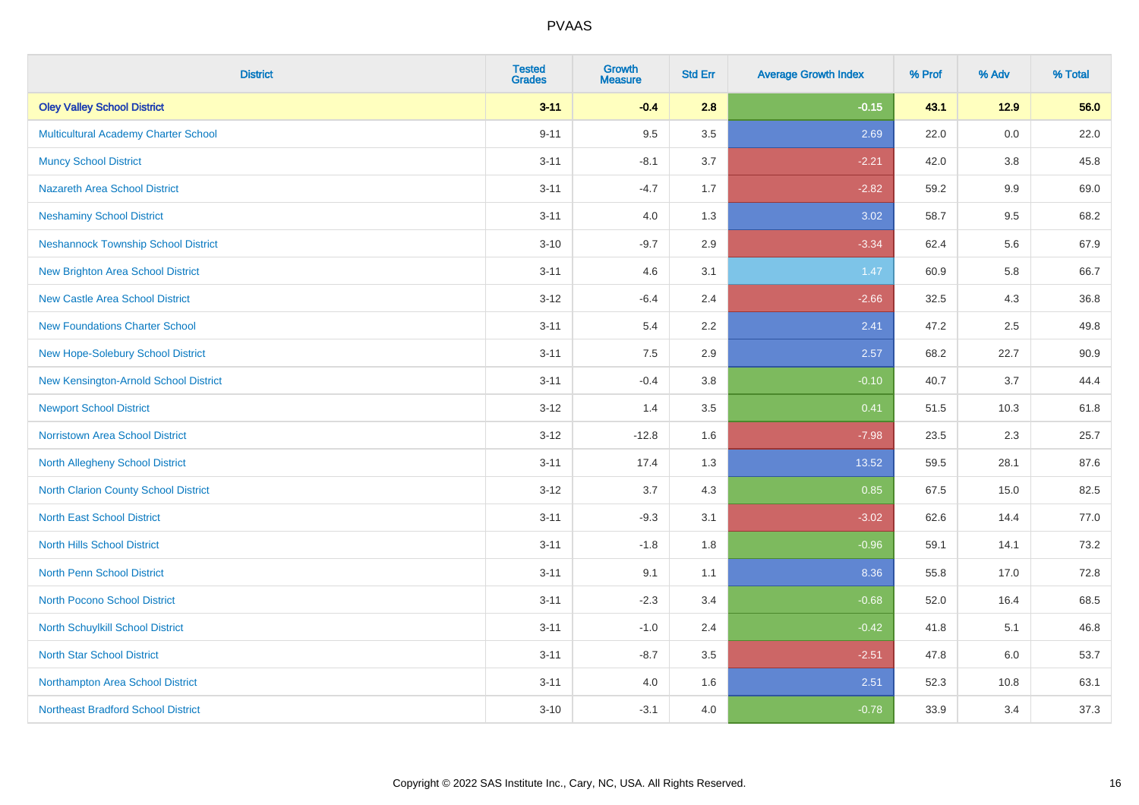| <b>District</b>                             | <b>Tested</b><br><b>Grades</b> | <b>Growth</b><br><b>Measure</b> | <b>Std Err</b> | <b>Average Growth Index</b> | % Prof | % Adv   | % Total |
|---------------------------------------------|--------------------------------|---------------------------------|----------------|-----------------------------|--------|---------|---------|
| <b>Oley Valley School District</b>          | $3 - 11$                       | $-0.4$                          | 2.8            | $-0.15$                     | 43.1   | $12.9$  | 56.0    |
| Multicultural Academy Charter School        | $9 - 11$                       | 9.5                             | 3.5            | 2.69                        | 22.0   | 0.0     | 22.0    |
| <b>Muncy School District</b>                | $3 - 11$                       | $-8.1$                          | 3.7            | $-2.21$                     | 42.0   | 3.8     | 45.8    |
| <b>Nazareth Area School District</b>        | $3 - 11$                       | $-4.7$                          | 1.7            | $-2.82$                     | 59.2   | 9.9     | 69.0    |
| <b>Neshaminy School District</b>            | $3 - 11$                       | 4.0                             | 1.3            | 3.02                        | 58.7   | 9.5     | 68.2    |
| <b>Neshannock Township School District</b>  | $3 - 10$                       | $-9.7$                          | 2.9            | $-3.34$                     | 62.4   | 5.6     | 67.9    |
| <b>New Brighton Area School District</b>    | $3 - 11$                       | 4.6                             | 3.1            | 1.47                        | 60.9   | 5.8     | 66.7    |
| <b>New Castle Area School District</b>      | $3-12$                         | $-6.4$                          | 2.4            | $-2.66$                     | 32.5   | 4.3     | 36.8    |
| <b>New Foundations Charter School</b>       | $3 - 11$                       | 5.4                             | 2.2            | 2.41                        | 47.2   | 2.5     | 49.8    |
| New Hope-Solebury School District           | $3 - 11$                       | 7.5                             | 2.9            | 2.57                        | 68.2   | 22.7    | 90.9    |
| New Kensington-Arnold School District       | $3 - 11$                       | $-0.4$                          | 3.8            | $-0.10$                     | 40.7   | 3.7     | 44.4    |
| <b>Newport School District</b>              | $3 - 12$                       | 1.4                             | 3.5            | 0.41                        | 51.5   | 10.3    | 61.8    |
| <b>Norristown Area School District</b>      | $3 - 12$                       | $-12.8$                         | 1.6            | $-7.98$                     | 23.5   | $2.3\,$ | 25.7    |
| North Allegheny School District             | $3 - 11$                       | 17.4                            | 1.3            | 13.52                       | 59.5   | 28.1    | 87.6    |
| <b>North Clarion County School District</b> | $3-12$                         | 3.7                             | 4.3            | 0.85                        | 67.5   | 15.0    | 82.5    |
| <b>North East School District</b>           | $3 - 11$                       | $-9.3$                          | 3.1            | $-3.02$                     | 62.6   | 14.4    | 77.0    |
| <b>North Hills School District</b>          | $3 - 11$                       | $-1.8$                          | 1.8            | $-0.96$                     | 59.1   | 14.1    | 73.2    |
| <b>North Penn School District</b>           | $3 - 11$                       | 9.1                             | 1.1            | 8.36                        | 55.8   | 17.0    | 72.8    |
| <b>North Pocono School District</b>         | $3 - 11$                       | $-2.3$                          | 3.4            | $-0.68$                     | 52.0   | 16.4    | 68.5    |
| North Schuylkill School District            | $3 - 11$                       | $-1.0$                          | 2.4            | $-0.42$                     | 41.8   | 5.1     | 46.8    |
| <b>North Star School District</b>           | $3 - 11$                       | $-8.7$                          | 3.5            | $-2.51$                     | 47.8   | 6.0     | 53.7    |
| Northampton Area School District            | $3 - 11$                       | 4.0                             | 1.6            | 2.51                        | 52.3   | 10.8    | 63.1    |
| <b>Northeast Bradford School District</b>   | $3 - 10$                       | $-3.1$                          | 4.0            | $-0.78$                     | 33.9   | 3.4     | 37.3    |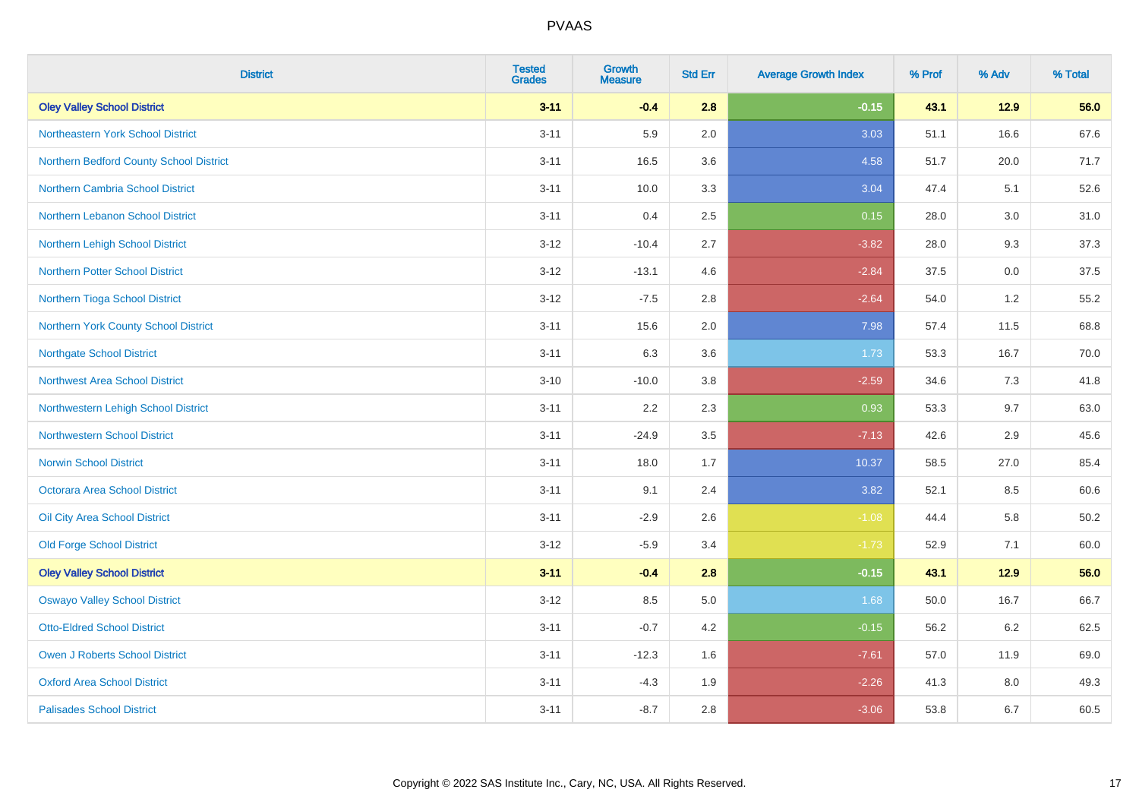| <b>District</b>                         | <b>Tested</b><br><b>Grades</b> | <b>Growth</b><br><b>Measure</b> | <b>Std Err</b> | <b>Average Growth Index</b> | % Prof | % Adv   | % Total |
|-----------------------------------------|--------------------------------|---------------------------------|----------------|-----------------------------|--------|---------|---------|
| <b>Oley Valley School District</b>      | $3 - 11$                       | $-0.4$                          | 2.8            | $-0.15$                     | 43.1   | $12.9$  | 56.0    |
| Northeastern York School District       | $3 - 11$                       | 5.9                             | 2.0            | 3.03                        | 51.1   | 16.6    | 67.6    |
| Northern Bedford County School District | $3 - 11$                       | 16.5                            | 3.6            | 4.58                        | 51.7   | 20.0    | 71.7    |
| <b>Northern Cambria School District</b> | $3 - 11$                       | 10.0                            | 3.3            | 3.04                        | 47.4   | 5.1     | 52.6    |
| Northern Lebanon School District        | $3 - 11$                       | 0.4                             | 2.5            | 0.15                        | 28.0   | 3.0     | 31.0    |
| Northern Lehigh School District         | $3 - 12$                       | $-10.4$                         | 2.7            | $-3.82$                     | 28.0   | 9.3     | 37.3    |
| Northern Potter School District         | $3 - 12$                       | $-13.1$                         | 4.6            | $-2.84$                     | 37.5   | $0.0\,$ | 37.5    |
| Northern Tioga School District          | $3 - 12$                       | $-7.5$                          | 2.8            | $-2.64$                     | 54.0   | 1.2     | 55.2    |
| Northern York County School District    | $3 - 11$                       | 15.6                            | 2.0            | 7.98                        | 57.4   | 11.5    | 68.8    |
| <b>Northgate School District</b>        | $3 - 11$                       | 6.3                             | 3.6            | 1.73                        | 53.3   | 16.7    | 70.0    |
| Northwest Area School District          | $3 - 10$                       | $-10.0$                         | 3.8            | $-2.59$                     | 34.6   | 7.3     | 41.8    |
| Northwestern Lehigh School District     | $3 - 11$                       | 2.2                             | 2.3            | 0.93                        | 53.3   | 9.7     | 63.0    |
| <b>Northwestern School District</b>     | $3 - 11$                       | $-24.9$                         | 3.5            | $-7.13$                     | 42.6   | 2.9     | 45.6    |
| <b>Norwin School District</b>           | $3 - 11$                       | 18.0                            | 1.7            | 10.37                       | 58.5   | 27.0    | 85.4    |
| <b>Octorara Area School District</b>    | $3 - 11$                       | 9.1                             | 2.4            | 3.82                        | 52.1   | 8.5     | 60.6    |
| Oil City Area School District           | $3 - 11$                       | $-2.9$                          | 2.6            | $-1.08$                     | 44.4   | 5.8     | 50.2    |
| <b>Old Forge School District</b>        | $3 - 12$                       | $-5.9$                          | 3.4            | $-1.73$                     | 52.9   | 7.1     | 60.0    |
| <b>Oley Valley School District</b>      | $3 - 11$                       | $-0.4$                          | 2.8            | $-0.15$                     | 43.1   | 12.9    | 56.0    |
| <b>Oswayo Valley School District</b>    | $3 - 12$                       | 8.5                             | $5.0\,$        | 1.68                        | 50.0   | 16.7    | 66.7    |
| <b>Otto-Eldred School District</b>      | $3 - 11$                       | $-0.7$                          | 4.2            | $-0.15$                     | 56.2   | 6.2     | 62.5    |
| <b>Owen J Roberts School District</b>   | $3 - 11$                       | $-12.3$                         | 1.6            | $-7.61$                     | 57.0   | 11.9    | 69.0    |
| <b>Oxford Area School District</b>      | $3 - 11$                       | $-4.3$                          | 1.9            | $-2.26$                     | 41.3   | 8.0     | 49.3    |
| <b>Palisades School District</b>        | $3 - 11$                       | $-8.7$                          | 2.8            | $-3.06$                     | 53.8   | 6.7     | 60.5    |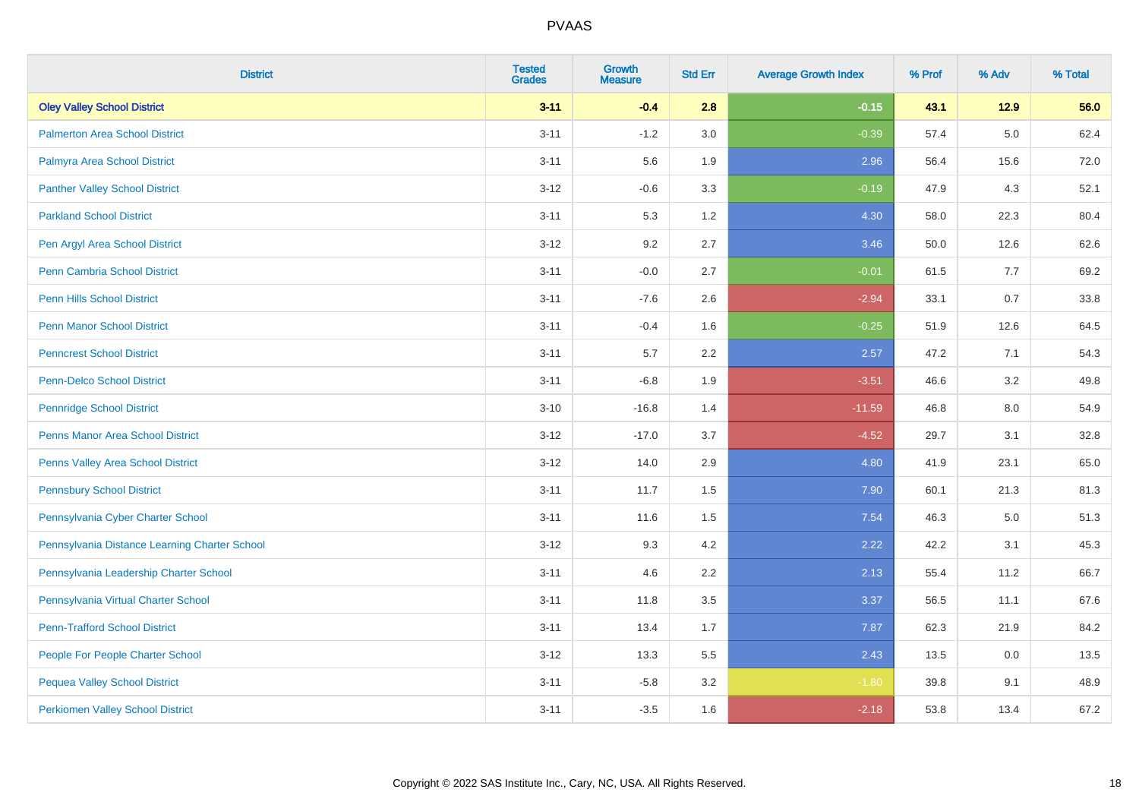| <b>District</b>                               | <b>Tested</b><br><b>Grades</b> | <b>Growth</b><br><b>Measure</b> | <b>Std Err</b> | <b>Average Growth Index</b> | % Prof | % Adv   | % Total |
|-----------------------------------------------|--------------------------------|---------------------------------|----------------|-----------------------------|--------|---------|---------|
| <b>Oley Valley School District</b>            | $3 - 11$                       | $-0.4$                          | 2.8            | $-0.15$                     | 43.1   | $12.9$  | 56.0    |
| <b>Palmerton Area School District</b>         | $3 - 11$                       | $-1.2$                          | 3.0            | $-0.39$                     | 57.4   | $5.0\,$ | 62.4    |
| Palmyra Area School District                  | $3 - 11$                       | 5.6                             | 1.9            | 2.96                        | 56.4   | 15.6    | 72.0    |
| <b>Panther Valley School District</b>         | $3 - 12$                       | $-0.6$                          | 3.3            | $-0.19$                     | 47.9   | 4.3     | 52.1    |
| <b>Parkland School District</b>               | $3 - 11$                       | 5.3                             | 1.2            | 4.30                        | 58.0   | 22.3    | 80.4    |
| Pen Argyl Area School District                | $3 - 12$                       | 9.2                             | 2.7            | 3.46                        | 50.0   | 12.6    | 62.6    |
| Penn Cambria School District                  | $3 - 11$                       | $-0.0$                          | 2.7            | $-0.01$                     | 61.5   | 7.7     | 69.2    |
| <b>Penn Hills School District</b>             | $3 - 11$                       | $-7.6$                          | 2.6            | $-2.94$                     | 33.1   | 0.7     | 33.8    |
| <b>Penn Manor School District</b>             | $3 - 11$                       | $-0.4$                          | 1.6            | $-0.25$                     | 51.9   | 12.6    | 64.5    |
| <b>Penncrest School District</b>              | $3 - 11$                       | 5.7                             | 2.2            | 2.57                        | 47.2   | 7.1     | 54.3    |
| Penn-Delco School District                    | $3 - 11$                       | $-6.8$                          | 1.9            | $-3.51$                     | 46.6   | 3.2     | 49.8    |
| <b>Pennridge School District</b>              | $3 - 10$                       | $-16.8$                         | 1.4            | $-11.59$                    | 46.8   | 8.0     | 54.9    |
| <b>Penns Manor Area School District</b>       | $3 - 12$                       | $-17.0$                         | 3.7            | $-4.52$                     | 29.7   | 3.1     | 32.8    |
| Penns Valley Area School District             | $3 - 12$                       | 14.0                            | 2.9            | 4.80                        | 41.9   | 23.1    | 65.0    |
| <b>Pennsbury School District</b>              | $3 - 11$                       | 11.7                            | 1.5            | 7.90                        | 60.1   | 21.3    | 81.3    |
| Pennsylvania Cyber Charter School             | $3 - 11$                       | 11.6                            | 1.5            | 7.54                        | 46.3   | 5.0     | 51.3    |
| Pennsylvania Distance Learning Charter School | $3 - 12$                       | 9.3                             | 4.2            | 2.22                        | 42.2   | 3.1     | 45.3    |
| Pennsylvania Leadership Charter School        | $3 - 11$                       | 4.6                             | 2.2            | 2.13                        | 55.4   | 11.2    | 66.7    |
| Pennsylvania Virtual Charter School           | $3 - 11$                       | 11.8                            | 3.5            | 3.37                        | 56.5   | 11.1    | 67.6    |
| <b>Penn-Trafford School District</b>          | $3 - 11$                       | 13.4                            | 1.7            | 7.87                        | 62.3   | 21.9    | 84.2    |
| People For People Charter School              | $3 - 12$                       | 13.3                            | 5.5            | 2.43                        | 13.5   | 0.0     | 13.5    |
| <b>Pequea Valley School District</b>          | $3 - 11$                       | $-5.8$                          | 3.2            | $-1.80$                     | 39.8   | 9.1     | 48.9    |
| <b>Perkiomen Valley School District</b>       | $3 - 11$                       | $-3.5$                          | 1.6            | $-2.18$                     | 53.8   | 13.4    | 67.2    |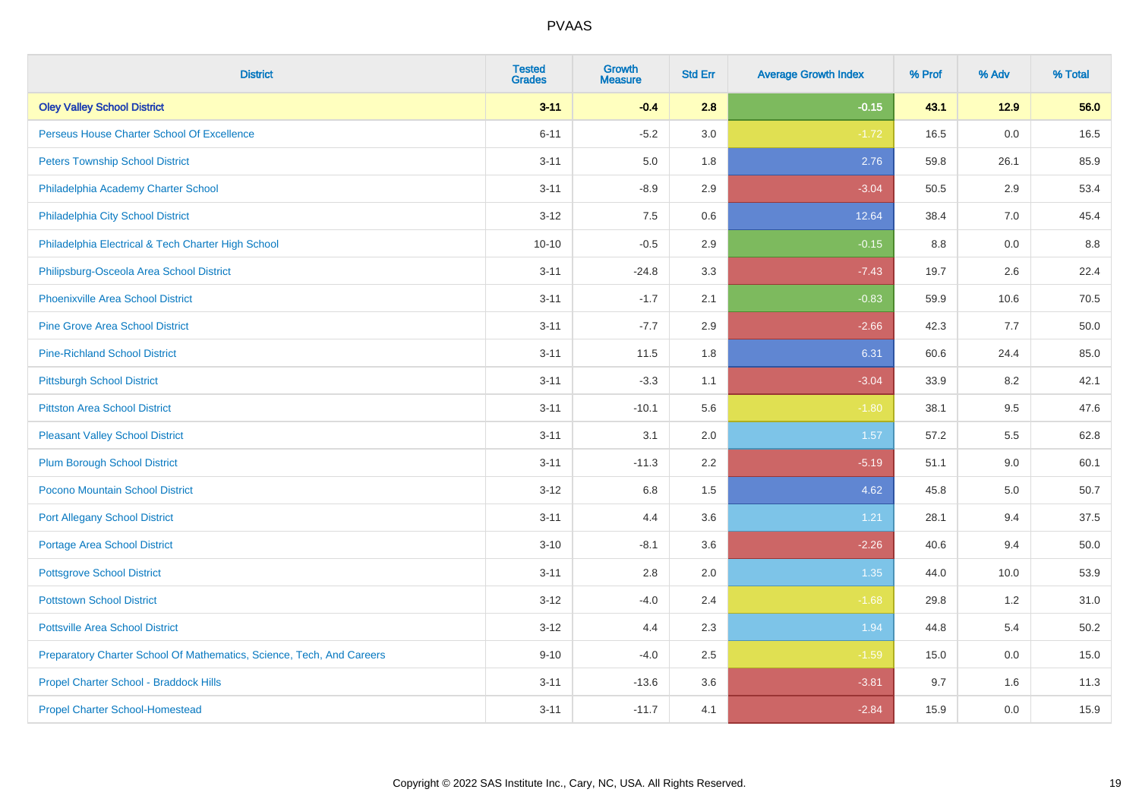| <b>District</b>                                                       | <b>Tested</b><br><b>Grades</b> | <b>Growth</b><br><b>Measure</b> | <b>Std Err</b> | <b>Average Growth Index</b> | % Prof | % Adv | % Total |
|-----------------------------------------------------------------------|--------------------------------|---------------------------------|----------------|-----------------------------|--------|-------|---------|
| <b>Oley Valley School District</b>                                    | $3 - 11$                       | $-0.4$                          | 2.8            | $-0.15$                     | 43.1   | 12.9  | 56.0    |
| Perseus House Charter School Of Excellence                            | $6 - 11$                       | $-5.2$                          | 3.0            | $-1.72$                     | 16.5   | 0.0   | 16.5    |
| <b>Peters Township School District</b>                                | $3 - 11$                       | 5.0                             | 1.8            | 2.76                        | 59.8   | 26.1  | 85.9    |
| Philadelphia Academy Charter School                                   | $3 - 11$                       | $-8.9$                          | 2.9            | $-3.04$                     | 50.5   | 2.9   | 53.4    |
| Philadelphia City School District                                     | $3 - 12$                       | 7.5                             | 0.6            | 12.64                       | 38.4   | 7.0   | 45.4    |
| Philadelphia Electrical & Tech Charter High School                    | $10 - 10$                      | $-0.5$                          | 2.9            | $-0.15$                     | 8.8    | 0.0   | 8.8     |
| Philipsburg-Osceola Area School District                              | $3 - 11$                       | $-24.8$                         | 3.3            | $-7.43$                     | 19.7   | 2.6   | 22.4    |
| <b>Phoenixville Area School District</b>                              | $3 - 11$                       | $-1.7$                          | 2.1            | $-0.83$                     | 59.9   | 10.6  | 70.5    |
| <b>Pine Grove Area School District</b>                                | $3 - 11$                       | $-7.7$                          | 2.9            | $-2.66$                     | 42.3   | 7.7   | 50.0    |
| <b>Pine-Richland School District</b>                                  | $3 - 11$                       | 11.5                            | 1.8            | 6.31                        | 60.6   | 24.4  | 85.0    |
| <b>Pittsburgh School District</b>                                     | $3 - 11$                       | $-3.3$                          | 1.1            | $-3.04$                     | 33.9   | 8.2   | 42.1    |
| <b>Pittston Area School District</b>                                  | $3 - 11$                       | $-10.1$                         | 5.6            | $-1.80$                     | 38.1   | 9.5   | 47.6    |
| <b>Pleasant Valley School District</b>                                | $3 - 11$                       | 3.1                             | 2.0            | 1.57                        | 57.2   | 5.5   | 62.8    |
| <b>Plum Borough School District</b>                                   | $3 - 11$                       | $-11.3$                         | 2.2            | $-5.19$                     | 51.1   | 9.0   | 60.1    |
| Pocono Mountain School District                                       | $3 - 12$                       | $6.8\,$                         | 1.5            | 4.62                        | 45.8   | 5.0   | 50.7    |
| <b>Port Allegany School District</b>                                  | $3 - 11$                       | 4.4                             | 3.6            | 1.21                        | 28.1   | 9.4   | 37.5    |
| <b>Portage Area School District</b>                                   | $3 - 10$                       | $-8.1$                          | 3.6            | $-2.26$                     | 40.6   | 9.4   | 50.0    |
| <b>Pottsgrove School District</b>                                     | $3 - 11$                       | 2.8                             | 2.0            | 1.35                        | 44.0   | 10.0  | 53.9    |
| <b>Pottstown School District</b>                                      | $3 - 12$                       | $-4.0$                          | 2.4            | $-1.68$                     | 29.8   | 1.2   | 31.0    |
| <b>Pottsville Area School District</b>                                | $3 - 12$                       | 4.4                             | 2.3            | 1.94                        | 44.8   | 5.4   | 50.2    |
| Preparatory Charter School Of Mathematics, Science, Tech, And Careers | $9 - 10$                       | $-4.0$                          | 2.5            | $-1.59$                     | 15.0   | 0.0   | 15.0    |
| Propel Charter School - Braddock Hills                                | $3 - 11$                       | $-13.6$                         | 3.6            | $-3.81$                     | 9.7    | 1.6   | 11.3    |
| <b>Propel Charter School-Homestead</b>                                | $3 - 11$                       | $-11.7$                         | 4.1            | $-2.84$                     | 15.9   | 0.0   | 15.9    |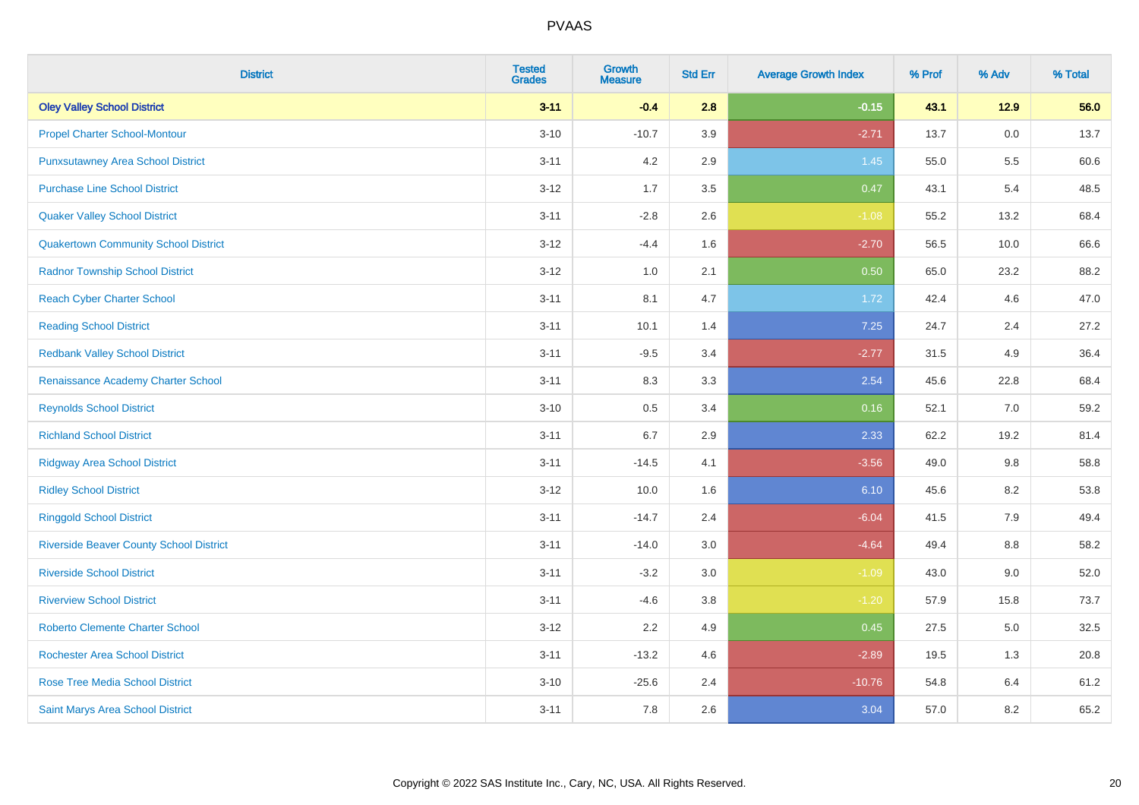| <b>District</b>                                | <b>Tested</b><br><b>Grades</b> | <b>Growth</b><br><b>Measure</b> | <b>Std Err</b> | <b>Average Growth Index</b> | % Prof | % Adv  | % Total |
|------------------------------------------------|--------------------------------|---------------------------------|----------------|-----------------------------|--------|--------|---------|
| <b>Oley Valley School District</b>             | $3 - 11$                       | $-0.4$                          | 2.8            | $-0.15$                     | 43.1   | $12.9$ | 56.0    |
| <b>Propel Charter School-Montour</b>           | $3 - 10$                       | $-10.7$                         | 3.9            | $-2.71$                     | 13.7   | 0.0    | 13.7    |
| <b>Punxsutawney Area School District</b>       | $3 - 11$                       | 4.2                             | 2.9            | 1.45                        | 55.0   | 5.5    | 60.6    |
| <b>Purchase Line School District</b>           | $3-12$                         | 1.7                             | 3.5            | 0.47                        | 43.1   | 5.4    | 48.5    |
| <b>Quaker Valley School District</b>           | $3 - 11$                       | $-2.8$                          | 2.6            | $-1.08$                     | 55.2   | 13.2   | 68.4    |
| <b>Quakertown Community School District</b>    | $3 - 12$                       | $-4.4$                          | 1.6            | $-2.70$                     | 56.5   | 10.0   | 66.6    |
| <b>Radnor Township School District</b>         | $3 - 12$                       | 1.0                             | 2.1            | 0.50                        | 65.0   | 23.2   | 88.2    |
| <b>Reach Cyber Charter School</b>              | $3 - 11$                       | 8.1                             | 4.7            | 1.72                        | 42.4   | 4.6    | 47.0    |
| <b>Reading School District</b>                 | $3 - 11$                       | 10.1                            | 1.4            | 7.25                        | 24.7   | 2.4    | 27.2    |
| <b>Redbank Valley School District</b>          | $3 - 11$                       | $-9.5$                          | 3.4            | $-2.77$                     | 31.5   | 4.9    | 36.4    |
| Renaissance Academy Charter School             | $3 - 11$                       | 8.3                             | 3.3            | 2.54                        | 45.6   | 22.8   | 68.4    |
| <b>Reynolds School District</b>                | $3 - 10$                       | 0.5                             | 3.4            | 0.16                        | 52.1   | 7.0    | 59.2    |
| <b>Richland School District</b>                | $3 - 11$                       | $6.7\,$                         | 2.9            | 2.33                        | 62.2   | 19.2   | 81.4    |
| <b>Ridgway Area School District</b>            | $3 - 11$                       | $-14.5$                         | 4.1            | $-3.56$                     | 49.0   | 9.8    | 58.8    |
| <b>Ridley School District</b>                  | $3 - 12$                       | 10.0                            | 1.6            | 6.10                        | 45.6   | 8.2    | 53.8    |
| <b>Ringgold School District</b>                | $3 - 11$                       | $-14.7$                         | 2.4            | $-6.04$                     | 41.5   | 7.9    | 49.4    |
| <b>Riverside Beaver County School District</b> | $3 - 11$                       | $-14.0$                         | 3.0            | $-4.64$                     | 49.4   | 8.8    | 58.2    |
| <b>Riverside School District</b>               | $3 - 11$                       | $-3.2$                          | 3.0            | $-1.09$                     | 43.0   | 9.0    | 52.0    |
| <b>Riverview School District</b>               | $3 - 11$                       | $-4.6$                          | 3.8            | $-1.20$                     | 57.9   | 15.8   | 73.7    |
| <b>Roberto Clemente Charter School</b>         | $3 - 12$                       | 2.2                             | 4.9            | 0.45                        | 27.5   | 5.0    | 32.5    |
| <b>Rochester Area School District</b>          | $3 - 11$                       | $-13.2$                         | 4.6            | $-2.89$                     | 19.5   | 1.3    | 20.8    |
| <b>Rose Tree Media School District</b>         | $3 - 10$                       | $-25.6$                         | 2.4            | $-10.76$                    | 54.8   | 6.4    | 61.2    |
| Saint Marys Area School District               | $3 - 11$                       | 7.8                             | 2.6            | 3.04                        | 57.0   | 8.2    | 65.2    |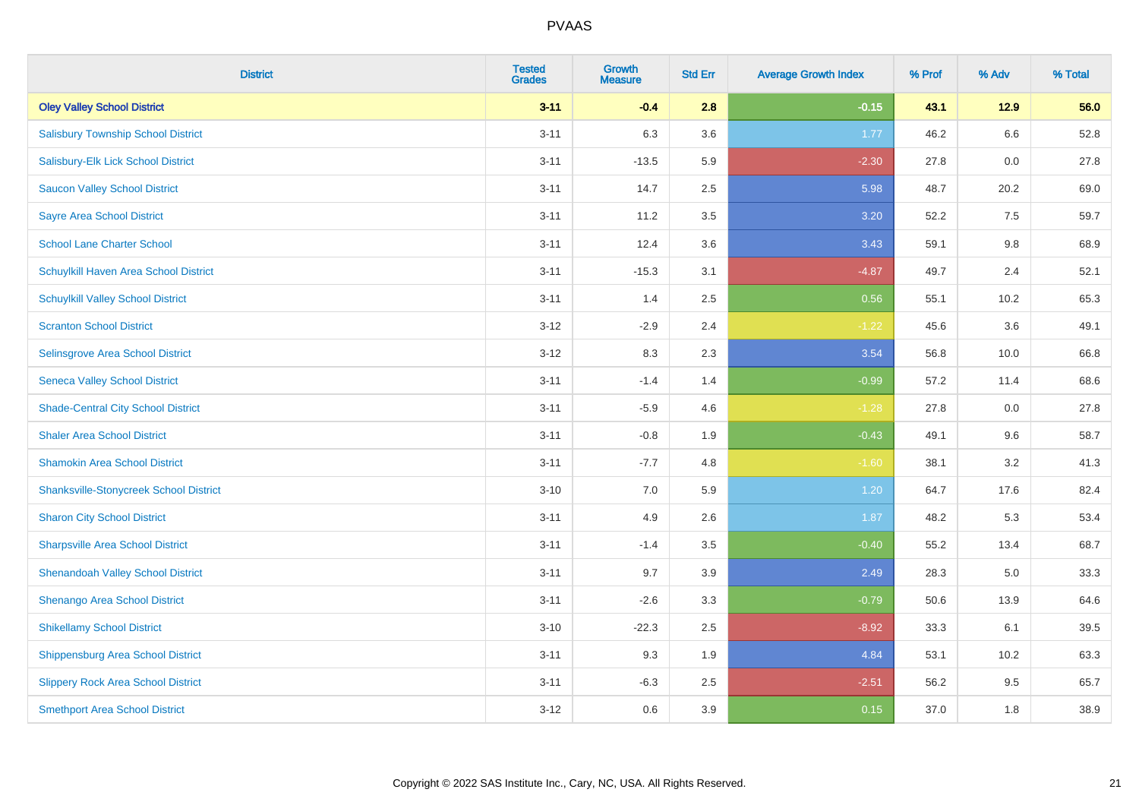| <b>District</b>                               | <b>Tested</b><br><b>Grades</b> | <b>Growth</b><br><b>Measure</b> | <b>Std Err</b> | <b>Average Growth Index</b> | % Prof | % Adv | % Total |
|-----------------------------------------------|--------------------------------|---------------------------------|----------------|-----------------------------|--------|-------|---------|
| <b>Oley Valley School District</b>            | $3 - 11$                       | $-0.4$                          | 2.8            | $-0.15$                     | 43.1   | 12.9  | 56.0    |
| <b>Salisbury Township School District</b>     | $3 - 11$                       | 6.3                             | 3.6            | 1.77                        | 46.2   | 6.6   | 52.8    |
| Salisbury-Elk Lick School District            | $3 - 11$                       | $-13.5$                         | 5.9            | $-2.30$                     | 27.8   | 0.0   | 27.8    |
| <b>Saucon Valley School District</b>          | $3 - 11$                       | 14.7                            | 2.5            | 5.98                        | 48.7   | 20.2  | 69.0    |
| <b>Sayre Area School District</b>             | $3 - 11$                       | 11.2                            | 3.5            | 3.20                        | 52.2   | 7.5   | 59.7    |
| <b>School Lane Charter School</b>             | $3 - 11$                       | 12.4                            | 3.6            | 3.43                        | 59.1   | 9.8   | 68.9    |
| Schuylkill Haven Area School District         | $3 - 11$                       | $-15.3$                         | 3.1            | $-4.87$                     | 49.7   | 2.4   | 52.1    |
| <b>Schuylkill Valley School District</b>      | $3 - 11$                       | 1.4                             | 2.5            | 0.56                        | 55.1   | 10.2  | 65.3    |
| <b>Scranton School District</b>               | $3 - 12$                       | $-2.9$                          | 2.4            | $-1.22$                     | 45.6   | 3.6   | 49.1    |
| Selinsgrove Area School District              | $3 - 12$                       | 8.3                             | 2.3            | 3.54                        | 56.8   | 10.0  | 66.8    |
| <b>Seneca Valley School District</b>          | $3 - 11$                       | $-1.4$                          | 1.4            | $-0.99$                     | 57.2   | 11.4  | 68.6    |
| <b>Shade-Central City School District</b>     | $3 - 11$                       | $-5.9$                          | 4.6            | $-1.28$                     | 27.8   | 0.0   | 27.8    |
| <b>Shaler Area School District</b>            | $3 - 11$                       | $-0.8$                          | 1.9            | $-0.43$                     | 49.1   | 9.6   | 58.7    |
| <b>Shamokin Area School District</b>          | $3 - 11$                       | $-7.7$                          | 4.8            | $-1.60$                     | 38.1   | 3.2   | 41.3    |
| <b>Shanksville-Stonycreek School District</b> | $3 - 10$                       | $7.0\,$                         | 5.9            | 1.20                        | 64.7   | 17.6  | 82.4    |
| <b>Sharon City School District</b>            | $3 - 11$                       | 4.9                             | 2.6            | 1.87                        | 48.2   | 5.3   | 53.4    |
| <b>Sharpsville Area School District</b>       | $3 - 11$                       | $-1.4$                          | 3.5            | $-0.40$                     | 55.2   | 13.4  | 68.7    |
| <b>Shenandoah Valley School District</b>      | $3 - 11$                       | 9.7                             | 3.9            | 2.49                        | 28.3   | 5.0   | 33.3    |
| Shenango Area School District                 | $3 - 11$                       | $-2.6$                          | 3.3            | $-0.79$                     | 50.6   | 13.9  | 64.6    |
| <b>Shikellamy School District</b>             | $3 - 10$                       | $-22.3$                         | 2.5            | $-8.92$                     | 33.3   | 6.1   | 39.5    |
| <b>Shippensburg Area School District</b>      | $3 - 11$                       | 9.3                             | 1.9            | 4.84                        | 53.1   | 10.2  | 63.3    |
| <b>Slippery Rock Area School District</b>     | $3 - 11$                       | $-6.3$                          | 2.5            | $-2.51$                     | 56.2   | 9.5   | 65.7    |
| <b>Smethport Area School District</b>         | $3-12$                         | 0.6                             | 3.9            | 0.15                        | 37.0   | 1.8   | 38.9    |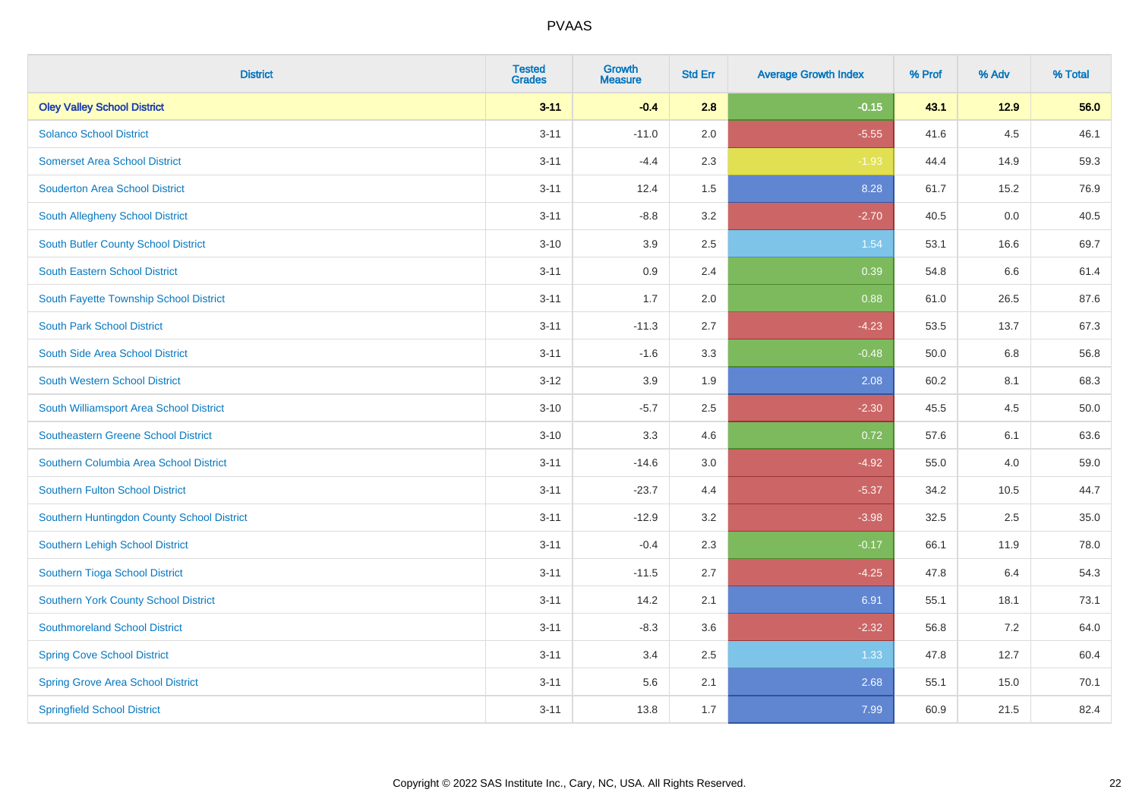| <b>District</b>                            | <b>Tested</b><br><b>Grades</b> | <b>Growth</b><br><b>Measure</b> | <b>Std Err</b> | <b>Average Growth Index</b> | % Prof | % Adv | % Total |
|--------------------------------------------|--------------------------------|---------------------------------|----------------|-----------------------------|--------|-------|---------|
| <b>Oley Valley School District</b>         | $3 - 11$                       | $-0.4$                          | 2.8            | $-0.15$                     | 43.1   | 12.9  | 56.0    |
| <b>Solanco School District</b>             | $3 - 11$                       | $-11.0$                         | 2.0            | $-5.55$                     | 41.6   | 4.5   | 46.1    |
| <b>Somerset Area School District</b>       | $3 - 11$                       | $-4.4$                          | 2.3            | $-1.93$                     | 44.4   | 14.9  | 59.3    |
| <b>Souderton Area School District</b>      | $3 - 11$                       | 12.4                            | 1.5            | 8.28                        | 61.7   | 15.2  | 76.9    |
| South Allegheny School District            | $3 - 11$                       | $-8.8$                          | 3.2            | $-2.70$                     | 40.5   | 0.0   | 40.5    |
| South Butler County School District        | $3 - 10$                       | 3.9                             | 2.5            | 1.54                        | 53.1   | 16.6  | 69.7    |
| South Eastern School District              | $3 - 11$                       | 0.9                             | 2.4            | 0.39                        | 54.8   | 6.6   | 61.4    |
| South Fayette Township School District     | $3 - 11$                       | 1.7                             | 2.0            | 0.88                        | 61.0   | 26.5  | 87.6    |
| <b>South Park School District</b>          | $3 - 11$                       | $-11.3$                         | 2.7            | $-4.23$                     | 53.5   | 13.7  | 67.3    |
| South Side Area School District            | $3 - 11$                       | $-1.6$                          | 3.3            | $-0.48$                     | 50.0   | 6.8   | 56.8    |
| South Western School District              | $3 - 12$                       | 3.9                             | 1.9            | 2.08                        | 60.2   | 8.1   | 68.3    |
| South Williamsport Area School District    | $3 - 10$                       | $-5.7$                          | 2.5            | $-2.30$                     | 45.5   | 4.5   | 50.0    |
| <b>Southeastern Greene School District</b> | $3 - 10$                       | 3.3                             | 4.6            | 0.72                        | 57.6   | 6.1   | 63.6    |
| Southern Columbia Area School District     | $3 - 11$                       | $-14.6$                         | $3.0\,$        | $-4.92$                     | 55.0   | 4.0   | 59.0    |
| <b>Southern Fulton School District</b>     | $3 - 11$                       | $-23.7$                         | 4.4            | $-5.37$                     | 34.2   | 10.5  | 44.7    |
| Southern Huntingdon County School District | $3 - 11$                       | $-12.9$                         | 3.2            | $-3.98$                     | 32.5   | 2.5   | 35.0    |
| Southern Lehigh School District            | $3 - 11$                       | $-0.4$                          | 2.3            | $-0.17$                     | 66.1   | 11.9  | 78.0    |
| Southern Tioga School District             | $3 - 11$                       | $-11.5$                         | 2.7            | $-4.25$                     | 47.8   | 6.4   | 54.3    |
| Southern York County School District       | $3 - 11$                       | 14.2                            | 2.1            | 6.91                        | 55.1   | 18.1  | 73.1    |
| <b>Southmoreland School District</b>       | $3 - 11$                       | $-8.3$                          | 3.6            | $-2.32$                     | 56.8   | 7.2   | 64.0    |
| <b>Spring Cove School District</b>         | $3 - 11$                       | 3.4                             | 2.5            | 1.33                        | 47.8   | 12.7  | 60.4    |
| <b>Spring Grove Area School District</b>   | $3 - 11$                       | 5.6                             | 2.1            | 2.68                        | 55.1   | 15.0  | 70.1    |
| <b>Springfield School District</b>         | $3 - 11$                       | 13.8                            | 1.7            | 7.99                        | 60.9   | 21.5  | 82.4    |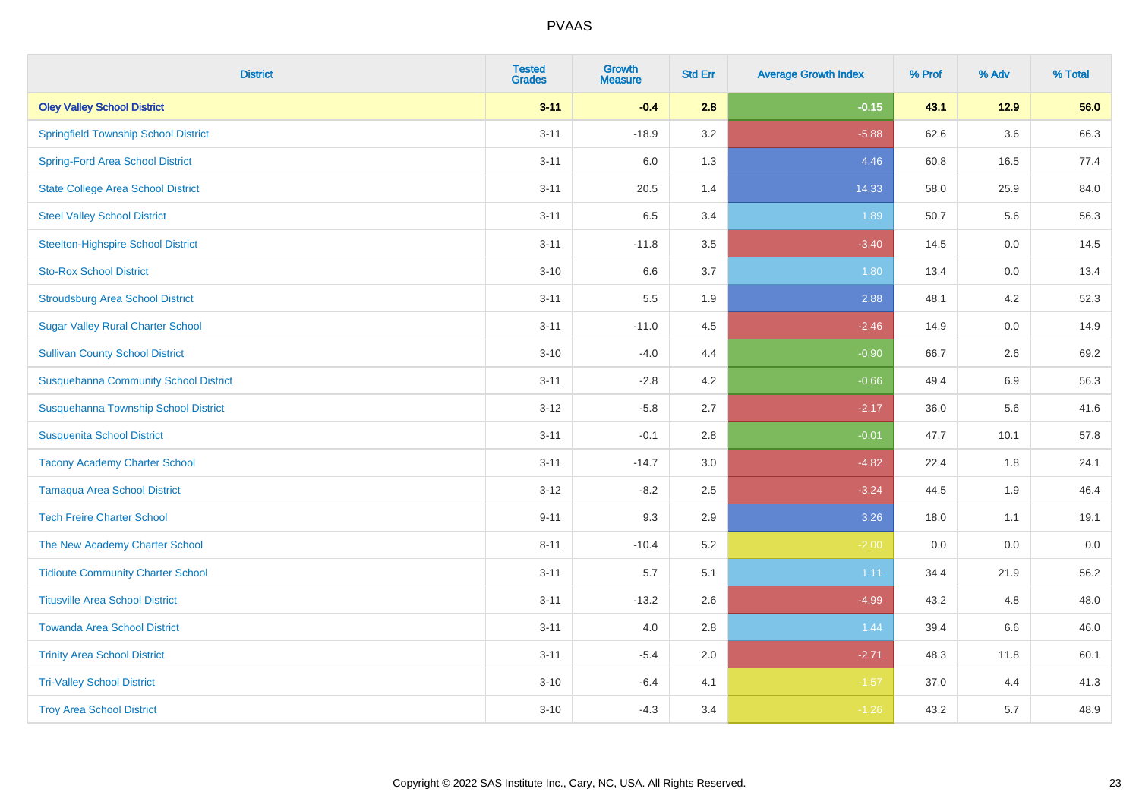| <b>District</b>                              | <b>Tested</b><br><b>Grades</b> | <b>Growth</b><br><b>Measure</b> | <b>Std Err</b> | <b>Average Growth Index</b> | % Prof | % Adv   | % Total |
|----------------------------------------------|--------------------------------|---------------------------------|----------------|-----------------------------|--------|---------|---------|
| <b>Oley Valley School District</b>           | $3 - 11$                       | $-0.4$                          | 2.8            | $-0.15$                     | 43.1   | 12.9    | 56.0    |
| <b>Springfield Township School District</b>  | $3 - 11$                       | $-18.9$                         | 3.2            | $-5.88$                     | 62.6   | $3.6\,$ | 66.3    |
| <b>Spring-Ford Area School District</b>      | $3 - 11$                       | 6.0                             | 1.3            | 4.46                        | 60.8   | 16.5    | 77.4    |
| <b>State College Area School District</b>    | $3 - 11$                       | 20.5                            | 1.4            | 14.33                       | 58.0   | 25.9    | 84.0    |
| <b>Steel Valley School District</b>          | $3 - 11$                       | 6.5                             | 3.4            | 1.89                        | 50.7   | 5.6     | 56.3    |
| <b>Steelton-Highspire School District</b>    | $3 - 11$                       | $-11.8$                         | 3.5            | $-3.40$                     | 14.5   | 0.0     | 14.5    |
| <b>Sto-Rox School District</b>               | $3 - 10$                       | 6.6                             | 3.7            | 1.80                        | 13.4   | 0.0     | 13.4    |
| <b>Stroudsburg Area School District</b>      | $3 - 11$                       | 5.5                             | 1.9            | 2.88                        | 48.1   | 4.2     | 52.3    |
| <b>Sugar Valley Rural Charter School</b>     | $3 - 11$                       | $-11.0$                         | 4.5            | $-2.46$                     | 14.9   | 0.0     | 14.9    |
| <b>Sullivan County School District</b>       | $3 - 10$                       | $-4.0$                          | 4.4            | $-0.90$                     | 66.7   | $2.6\,$ | 69.2    |
| <b>Susquehanna Community School District</b> | $3 - 11$                       | $-2.8$                          | 4.2            | $-0.66$                     | 49.4   | 6.9     | 56.3    |
| Susquehanna Township School District         | $3 - 12$                       | $-5.8$                          | 2.7            | $-2.17$                     | 36.0   | 5.6     | 41.6    |
| <b>Susquenita School District</b>            | $3 - 11$                       | $-0.1$                          | 2.8            | $-0.01$                     | 47.7   | 10.1    | 57.8    |
| <b>Tacony Academy Charter School</b>         | $3 - 11$                       | $-14.7$                         | 3.0            | $-4.82$                     | 22.4   | 1.8     | 24.1    |
| <b>Tamaqua Area School District</b>          | $3 - 12$                       | $-8.2$                          | 2.5            | $-3.24$                     | 44.5   | 1.9     | 46.4    |
| <b>Tech Freire Charter School</b>            | $9 - 11$                       | 9.3                             | 2.9            | 3.26                        | 18.0   | 1.1     | 19.1    |
| The New Academy Charter School               | $8 - 11$                       | $-10.4$                         | 5.2            | $-2.00$                     | 0.0    | 0.0     | $0.0\,$ |
| <b>Tidioute Community Charter School</b>     | $3 - 11$                       | 5.7                             | 5.1            | 1.11                        | 34.4   | 21.9    | 56.2    |
| <b>Titusville Area School District</b>       | $3 - 11$                       | $-13.2$                         | 2.6            | $-4.99$                     | 43.2   | 4.8     | 48.0    |
| <b>Towanda Area School District</b>          | $3 - 11$                       | 4.0                             | 2.8            | 1.44                        | 39.4   | 6.6     | 46.0    |
| <b>Trinity Area School District</b>          | $3 - 11$                       | $-5.4$                          | 2.0            | $-2.71$                     | 48.3   | 11.8    | 60.1    |
| <b>Tri-Valley School District</b>            | $3 - 10$                       | $-6.4$                          | 4.1            | $-1.57$                     | 37.0   | 4.4     | 41.3    |
| <b>Troy Area School District</b>             | $3 - 10$                       | $-4.3$                          | 3.4            | $-1.26$                     | 43.2   | 5.7     | 48.9    |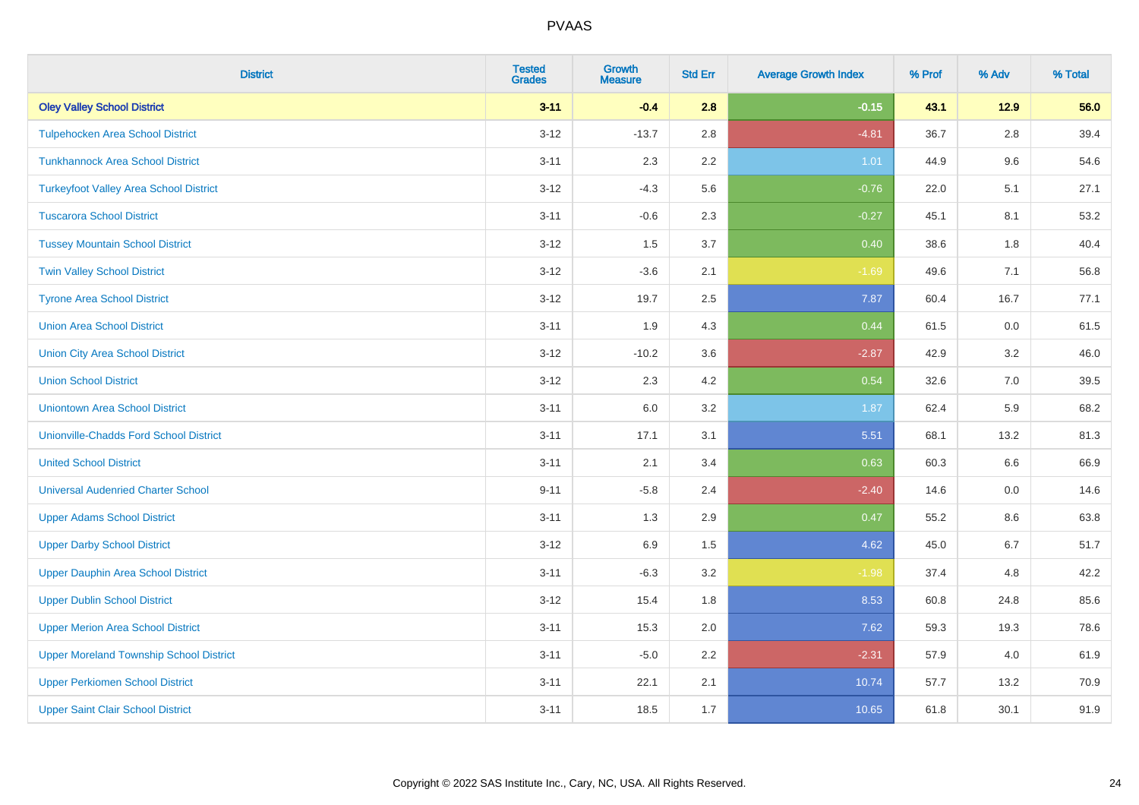| <b>District</b>                                | <b>Tested</b><br><b>Grades</b> | <b>Growth</b><br><b>Measure</b> | <b>Std Err</b> | <b>Average Growth Index</b> | % Prof | % Adv   | % Total |
|------------------------------------------------|--------------------------------|---------------------------------|----------------|-----------------------------|--------|---------|---------|
| <b>Oley Valley School District</b>             | $3 - 11$                       | $-0.4$                          | 2.8            | $-0.15$                     | 43.1   | 12.9    | 56.0    |
| <b>Tulpehocken Area School District</b>        | $3 - 12$                       | $-13.7$                         | 2.8            | $-4.81$                     | 36.7   | $2.8\,$ | 39.4    |
| <b>Tunkhannock Area School District</b>        | $3 - 11$                       | 2.3                             | 2.2            | 1.01                        | 44.9   | 9.6     | 54.6    |
| <b>Turkeyfoot Valley Area School District</b>  | $3 - 12$                       | $-4.3$                          | 5.6            | $-0.76$                     | 22.0   | 5.1     | 27.1    |
| <b>Tuscarora School District</b>               | $3 - 11$                       | $-0.6$                          | 2.3            | $-0.27$                     | 45.1   | 8.1     | 53.2    |
| <b>Tussey Mountain School District</b>         | $3 - 12$                       | 1.5                             | 3.7            | 0.40                        | 38.6   | 1.8     | 40.4    |
| <b>Twin Valley School District</b>             | $3 - 12$                       | $-3.6$                          | 2.1            | $-1.69$                     | 49.6   | 7.1     | 56.8    |
| <b>Tyrone Area School District</b>             | $3 - 12$                       | 19.7                            | 2.5            | 7.87                        | 60.4   | 16.7    | 77.1    |
| <b>Union Area School District</b>              | $3 - 11$                       | 1.9                             | 4.3            | 0.44                        | 61.5   | 0.0     | 61.5    |
| <b>Union City Area School District</b>         | $3 - 12$                       | $-10.2$                         | 3.6            | $-2.87$                     | 42.9   | 3.2     | 46.0    |
| <b>Union School District</b>                   | $3 - 12$                       | 2.3                             | 4.2            | 0.54                        | 32.6   | 7.0     | 39.5    |
| <b>Uniontown Area School District</b>          | $3 - 11$                       | 6.0                             | 3.2            | 1.87                        | 62.4   | 5.9     | 68.2    |
| <b>Unionville-Chadds Ford School District</b>  | $3 - 11$                       | 17.1                            | 3.1            | 5.51                        | 68.1   | 13.2    | 81.3    |
| <b>United School District</b>                  | $3 - 11$                       | 2.1                             | 3.4            | 0.63                        | 60.3   | 6.6     | 66.9    |
| <b>Universal Audenried Charter School</b>      | $9 - 11$                       | $-5.8$                          | 2.4            | $-2.40$                     | 14.6   | 0.0     | 14.6    |
| <b>Upper Adams School District</b>             | $3 - 11$                       | 1.3                             | 2.9            | 0.47                        | 55.2   | $8.6\,$ | 63.8    |
| <b>Upper Darby School District</b>             | $3 - 12$                       | 6.9                             | 1.5            | 4.62                        | 45.0   | 6.7     | 51.7    |
| <b>Upper Dauphin Area School District</b>      | $3 - 11$                       | $-6.3$                          | 3.2            | $-1.98$                     | 37.4   | 4.8     | 42.2    |
| <b>Upper Dublin School District</b>            | $3 - 12$                       | 15.4                            | 1.8            | 8.53                        | 60.8   | 24.8    | 85.6    |
| <b>Upper Merion Area School District</b>       | $3 - 11$                       | 15.3                            | 2.0            | 7.62                        | 59.3   | 19.3    | 78.6    |
| <b>Upper Moreland Township School District</b> | $3 - 11$                       | $-5.0$                          | 2.2            | $-2.31$                     | 57.9   | 4.0     | 61.9    |
| <b>Upper Perkiomen School District</b>         | $3 - 11$                       | 22.1                            | 2.1            | 10.74                       | 57.7   | 13.2    | 70.9    |
| <b>Upper Saint Clair School District</b>       | $3 - 11$                       | 18.5                            | 1.7            | 10.65                       | 61.8   | 30.1    | 91.9    |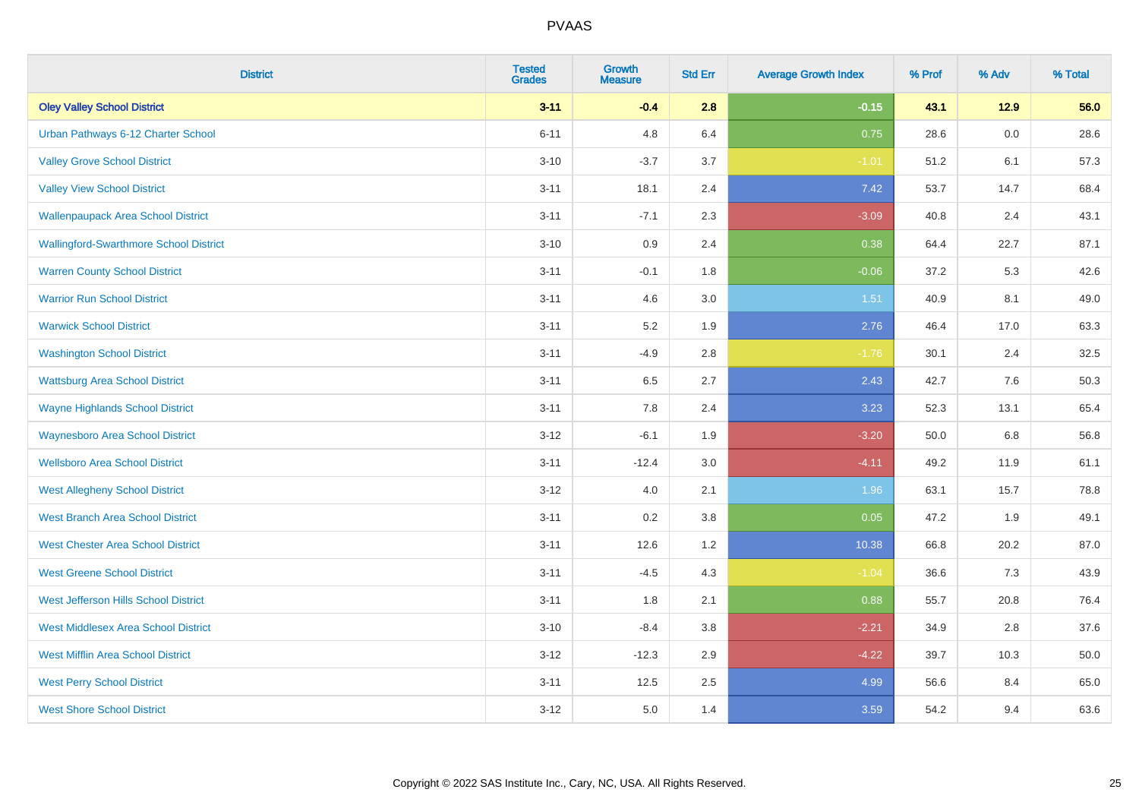| <b>District</b>                               | <b>Tested</b><br><b>Grades</b> | Growth<br><b>Measure</b> | <b>Std Err</b> | <b>Average Growth Index</b> | % Prof | % Adv   | % Total |
|-----------------------------------------------|--------------------------------|--------------------------|----------------|-----------------------------|--------|---------|---------|
| <b>Oley Valley School District</b>            | $3 - 11$                       | $-0.4$                   | 2.8            | $-0.15$                     | 43.1   | $12.9$  | 56.0    |
| Urban Pathways 6-12 Charter School            | $6 - 11$                       | 4.8                      | 6.4            | 0.75                        | 28.6   | $0.0\,$ | 28.6    |
| <b>Valley Grove School District</b>           | $3 - 10$                       | $-3.7$                   | 3.7            | $-1.01$                     | 51.2   | 6.1     | 57.3    |
| <b>Valley View School District</b>            | $3 - 11$                       | 18.1                     | 2.4            | 7.42                        | 53.7   | 14.7    | 68.4    |
| <b>Wallenpaupack Area School District</b>     | $3 - 11$                       | $-7.1$                   | 2.3            | $-3.09$                     | 40.8   | 2.4     | 43.1    |
| <b>Wallingford-Swarthmore School District</b> | $3 - 10$                       | 0.9                      | 2.4            | 0.38                        | 64.4   | 22.7    | 87.1    |
| <b>Warren County School District</b>          | $3 - 11$                       | $-0.1$                   | 1.8            | $-0.06$                     | 37.2   | 5.3     | 42.6    |
| <b>Warrior Run School District</b>            | $3 - 11$                       | 4.6                      | 3.0            | 1.51                        | 40.9   | 8.1     | 49.0    |
| <b>Warwick School District</b>                | $3 - 11$                       | 5.2                      | 1.9            | 2.76                        | 46.4   | 17.0    | 63.3    |
| <b>Washington School District</b>             | $3 - 11$                       | $-4.9$                   | 2.8            | $-1.76$                     | 30.1   | 2.4     | 32.5    |
| <b>Wattsburg Area School District</b>         | $3 - 11$                       | 6.5                      | 2.7            | 2.43                        | 42.7   | 7.6     | 50.3    |
| <b>Wayne Highlands School District</b>        | $3 - 11$                       | 7.8                      | 2.4            | 3.23                        | 52.3   | 13.1    | 65.4    |
| <b>Waynesboro Area School District</b>        | $3 - 12$                       | $-6.1$                   | 1.9            | $-3.20$                     | 50.0   | 6.8     | 56.8    |
| <b>Wellsboro Area School District</b>         | $3 - 11$                       | $-12.4$                  | 3.0            | $-4.11$                     | 49.2   | 11.9    | 61.1    |
| <b>West Allegheny School District</b>         | $3 - 12$                       | 4.0                      | 2.1            | 1.96                        | 63.1   | 15.7    | 78.8    |
| <b>West Branch Area School District</b>       | $3 - 11$                       | 0.2                      | 3.8            | 0.05                        | 47.2   | 1.9     | 49.1    |
| <b>West Chester Area School District</b>      | $3 - 11$                       | 12.6                     | 1.2            | 10.38                       | 66.8   | 20.2    | 87.0    |
| <b>West Greene School District</b>            | $3 - 11$                       | $-4.5$                   | 4.3            | $-1.04$                     | 36.6   | 7.3     | 43.9    |
| West Jefferson Hills School District          | $3 - 11$                       | 1.8                      | 2.1            | 0.88                        | 55.7   | 20.8    | 76.4    |
| <b>West Middlesex Area School District</b>    | $3 - 10$                       | $-8.4$                   | $3.8\,$        | $-2.21$                     | 34.9   | 2.8     | 37.6    |
| <b>West Mifflin Area School District</b>      | $3 - 12$                       | $-12.3$                  | 2.9            | $-4.22$                     | 39.7   | 10.3    | 50.0    |
| <b>West Perry School District</b>             | $3 - 11$                       | 12.5                     | 2.5            | 4.99                        | 56.6   | 8.4     | 65.0    |
| <b>West Shore School District</b>             | $3 - 12$                       | 5.0                      | 1.4            | 3.59                        | 54.2   | 9.4     | 63.6    |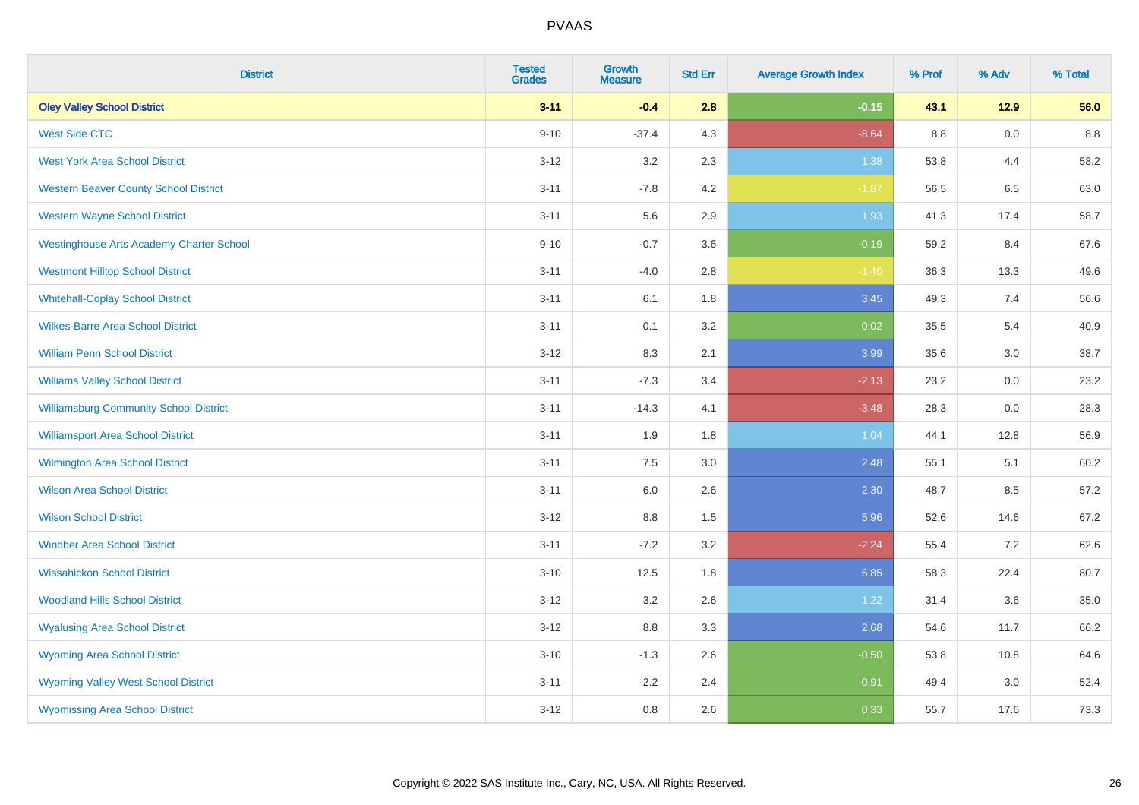| <b>District</b>                                 | <b>Tested</b><br><b>Grades</b> | <b>Growth</b><br><b>Measure</b> | <b>Std Err</b> | <b>Average Growth Index</b> | % Prof | % Adv   | % Total |
|-------------------------------------------------|--------------------------------|---------------------------------|----------------|-----------------------------|--------|---------|---------|
| <b>Oley Valley School District</b>              | $3 - 11$                       | $-0.4$                          | 2.8            | $-0.15$                     | 43.1   | 12.9    | 56.0    |
| <b>West Side CTC</b>                            | $9 - 10$                       | $-37.4$                         | 4.3            | $-8.64$                     | 8.8    | $0.0\,$ | 8.8     |
| <b>West York Area School District</b>           | $3 - 12$                       | 3.2                             | 2.3            | 1.38                        | 53.8   | 4.4     | 58.2    |
| <b>Western Beaver County School District</b>    | $3 - 11$                       | $-7.8$                          | 4.2            | $-1.87$                     | 56.5   | 6.5     | 63.0    |
| <b>Western Wayne School District</b>            | $3 - 11$                       | 5.6                             | 2.9            | 1.93                        | 41.3   | 17.4    | 58.7    |
| <b>Westinghouse Arts Academy Charter School</b> | $9 - 10$                       | $-0.7$                          | 3.6            | $-0.19$                     | 59.2   | 8.4     | 67.6    |
| <b>Westmont Hilltop School District</b>         | $3 - 11$                       | $-4.0$                          | 2.8            | $-1.40$                     | 36.3   | 13.3    | 49.6    |
| <b>Whitehall-Coplay School District</b>         | $3 - 11$                       | 6.1                             | 1.8            | 3.45                        | 49.3   | 7.4     | 56.6    |
| <b>Wilkes-Barre Area School District</b>        | $3 - 11$                       | 0.1                             | 3.2            | 0.02                        | 35.5   | 5.4     | 40.9    |
| <b>William Penn School District</b>             | $3 - 12$                       | 8.3                             | 2.1            | 3.99                        | 35.6   | 3.0     | 38.7    |
| <b>Williams Valley School District</b>          | $3 - 11$                       | $-7.3$                          | 3.4            | $-2.13$                     | 23.2   | 0.0     | 23.2    |
| <b>Williamsburg Community School District</b>   | $3 - 11$                       | $-14.3$                         | 4.1            | $-3.48$                     | 28.3   | 0.0     | 28.3    |
| <b>Williamsport Area School District</b>        | $3 - 11$                       | 1.9                             | 1.8            | 1.04                        | 44.1   | 12.8    | 56.9    |
| <b>Wilmington Area School District</b>          | $3 - 11$                       | 7.5                             | 3.0            | 2.48                        | 55.1   | 5.1     | 60.2    |
| <b>Wilson Area School District</b>              | $3 - 11$                       | 6.0                             | 2.6            | 2.30                        | 48.7   | 8.5     | 57.2    |
| <b>Wilson School District</b>                   | $3 - 12$                       | $8.8\,$                         | 1.5            | 5.96                        | 52.6   | 14.6    | 67.2    |
| <b>Windber Area School District</b>             | $3 - 11$                       | $-7.2$                          | 3.2            | $-2.24$                     | 55.4   | $7.2\,$ | 62.6    |
| <b>Wissahickon School District</b>              | $3 - 10$                       | 12.5                            | 1.8            | 6.85                        | 58.3   | 22.4    | 80.7    |
| <b>Woodland Hills School District</b>           | $3 - 12$                       | 3.2                             | 2.6            | 1.22                        | 31.4   | 3.6     | 35.0    |
| <b>Wyalusing Area School District</b>           | $3-12$                         | 8.8                             | 3.3            | 2.68                        | 54.6   | 11.7    | 66.2    |
| <b>Wyoming Area School District</b>             | $3 - 10$                       | $-1.3$                          | 2.6            | $-0.50$                     | 53.8   | 10.8    | 64.6    |
| <b>Wyoming Valley West School District</b>      | $3 - 11$                       | $-2.2$                          | 2.4            | $-0.91$                     | 49.4   | 3.0     | 52.4    |
| <b>Wyomissing Area School District</b>          | $3 - 12$                       | 0.8                             | 2.6            | 0.33                        | 55.7   | 17.6    | 73.3    |